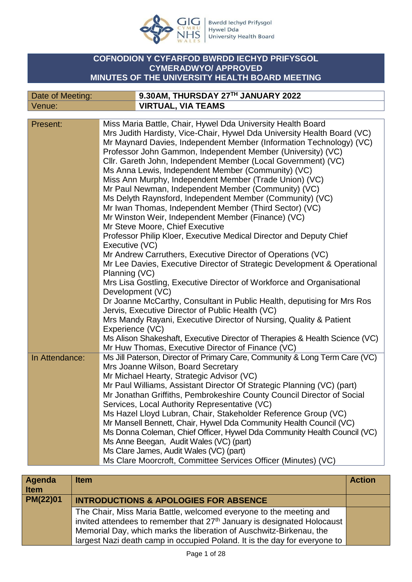

Bwrdd Iechyd Prifysgol<br>Hywel Dda<br>University Health Board

## **COFNODION Y CYFARFOD BWRDD IECHYD PRIFYSGOL CYMERADWYO/ APPROVED MINUTES OF THE UNIVERSITY HEALTH BOARD MEETING**

| Date of Meeting: | $^{\prime}$ 9.30AM, THURSDAY 27TH JANUARY 2022 |
|------------------|------------------------------------------------|
| Venue:           | <b>VIRTUAL, VIA TEAMS</b>                      |

| Present:       | Miss Maria Battle, Chair, Hywel Dda University Health Board                 |
|----------------|-----------------------------------------------------------------------------|
|                | Mrs Judith Hardisty, Vice-Chair, Hywel Dda University Health Board (VC)     |
|                | Mr Maynard Davies, Independent Member (Information Technology) (VC)         |
|                | Professor John Gammon, Independent Member (University) (VC)                 |
|                | Cllr. Gareth John, Independent Member (Local Government) (VC)               |
|                | Ms Anna Lewis, Independent Member (Community) (VC)                          |
|                | Miss Ann Murphy, Independent Member (Trade Union) (VC)                      |
|                | Mr Paul Newman, Independent Member (Community) (VC)                         |
|                | Ms Delyth Raynsford, Independent Member (Community) (VC)                    |
|                | Mr Iwan Thomas, Independent Member (Third Sector) (VC)                      |
|                |                                                                             |
|                | Mr Winston Weir, Independent Member (Finance) (VC)                          |
|                | Mr Steve Moore, Chief Executive                                             |
|                | Professor Philip Kloer, Executive Medical Director and Deputy Chief         |
|                | Executive (VC)                                                              |
|                | Mr Andrew Carruthers, Executive Director of Operations (VC)                 |
|                | Mr Lee Davies, Executive Director of Strategic Development & Operational    |
|                | Planning (VC)                                                               |
|                | Mrs Lisa Gostling, Executive Director of Workforce and Organisational       |
|                | Development (VC)                                                            |
|                | Dr Joanne McCarthy, Consultant in Public Health, deputising for Mrs Ros     |
|                | Jervis, Executive Director of Public Health (VC)                            |
|                | Mrs Mandy Rayani, Executive Director of Nursing, Quality & Patient          |
|                | Experience (VC)                                                             |
|                | Ms Alison Shakeshaft, Executive Director of Therapies & Health Science (VC) |
|                | Mr Huw Thomas, Executive Director of Finance (VC)                           |
| In Attendance: | Ms Jill Paterson, Director of Primary Care, Community & Long Term Care (VC) |
|                | Mrs Joanne Wilson, Board Secretary                                          |
|                | Mr Michael Hearty, Strategic Advisor (VC)                                   |
|                | Mr Paul Williams, Assistant Director Of Strategic Planning (VC) (part)      |
|                | Mr Jonathan Griffiths, Pembrokeshire County Council Director of Social      |
|                | Services, Local Authority Representative (VC)                               |
|                | Ms Hazel Lloyd Lubran, Chair, Stakeholder Reference Group (VC)              |
|                | Mr Mansell Bennett, Chair, Hywel Dda Community Health Council (VC)          |
|                |                                                                             |
|                | Ms Donna Coleman, Chief Officer, Hywel Dda Community Health Council (VC)    |
|                | Ms Anne Beegan, Audit Wales (VC) (part)                                     |
|                | Ms Clare James, Audit Wales (VC) (part)                                     |
|                | Ms Clare Moorcroft, Committee Services Officer (Minutes) (VC)               |

| <b>Agenda</b><br><b>Item</b> | <b>Item</b>                                                                                                                                                                                                                                                                                                   | <b>Action</b> |
|------------------------------|---------------------------------------------------------------------------------------------------------------------------------------------------------------------------------------------------------------------------------------------------------------------------------------------------------------|---------------|
| PM(22)01                     | <b>INTRODUCTIONS &amp; APOLOGIES FOR ABSENCE</b>                                                                                                                                                                                                                                                              |               |
|                              | The Chair, Miss Maria Battle, welcomed everyone to the meeting and<br>invited attendees to remember that 27 <sup>th</sup> January is designated Holocaust<br>Memorial Day, which marks the liberation of Auschwitz-Birkenau, the<br>largest Nazi death camp in occupied Poland. It is the day for everyone to |               |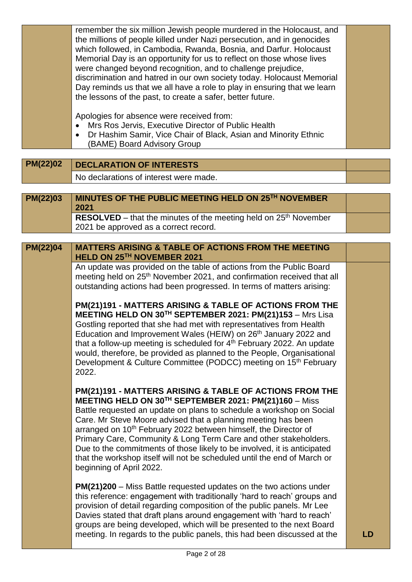| remember the six million Jewish people murdered in the Holocaust, and<br>the millions of people killed under Nazi persecution, and in genocides<br>which followed, in Cambodia, Rwanda, Bosnia, and Darfur. Holocaust<br>Memorial Day is an opportunity for us to reflect on those whose lives<br>were changed beyond recognition, and to challenge prejudice,<br>discrimination and hatred in our own society today. Holocaust Memorial<br>Day reminds us that we all have a role to play in ensuring that we learn<br>the lessons of the past, to create a safer, better future. |  |
|------------------------------------------------------------------------------------------------------------------------------------------------------------------------------------------------------------------------------------------------------------------------------------------------------------------------------------------------------------------------------------------------------------------------------------------------------------------------------------------------------------------------------------------------------------------------------------|--|
| Apologies for absence were received from:<br>Mrs Ros Jervis, Executive Director of Public Health<br>Dr Hashim Samir, Vice Chair of Black, Asian and Minority Ethnic<br>$\bullet$<br>(BAME) Board Advisory Group                                                                                                                                                                                                                                                                                                                                                                    |  |

**PM(22)02** DECLARATION OF INTERESTS No declarations of interest were made.

| <b>PM(22)03</b> | MINUTES OF THE PUBLIC MEETING HELD ON 25TH NOVEMBER<br>2021        |  |
|-----------------|--------------------------------------------------------------------|--|
|                 | RESOLVED – that the minutes of the meeting held on $25th$ November |  |
|                 | 2021 be approved as a correct record.                              |  |

**PM(22)04 MATTERS ARISING & TABLE OF ACTIONS FROM THE MEETING HELD ON 25TH NOVEMBER 2021**

> An update was provided on the table of actions from the Public Board meeting held on 25<sup>th</sup> November 2021, and confirmation received that all outstanding actions had been progressed. In terms of matters arising:

> **PM(21)191 - MATTERS ARISING & TABLE OF ACTIONS FROM THE MEETING HELD ON 30TH SEPTEMBER 2021: PM(21)153** – Mrs Lisa Gostling reported that she had met with representatives from Health Education and Improvement Wales (HEIW) on 26<sup>th</sup> January 2022 and that a follow-up meeting is scheduled for  $4<sup>th</sup>$  February 2022. An update would, therefore, be provided as planned to the People, Organisational Development & Culture Committee (PODCC) meeting on 15<sup>th</sup> February 2022.

> **PM(21)191 - MATTERS ARISING & TABLE OF ACTIONS FROM THE MEETING HELD ON 30TH SEPTEMBER 2021: PM(21)160** – Miss Battle requested an update on plans to schedule a workshop on Social Care. Mr Steve Moore advised that a planning meeting has been arranged on 10<sup>th</sup> February 2022 between himself, the Director of Primary Care, Community & Long Term Care and other stakeholders. Due to the commitments of those likely to be involved, it is anticipated that the workshop itself will not be scheduled until the end of March or beginning of April 2022.

**PM(21)200** – Miss Battle requested updates on the two actions under this reference: engagement with traditionally 'hard to reach' groups and provision of detail regarding composition of the public panels. Mr Lee Davies stated that draft plans around engagement with 'hard to reach' groups are being developed, which will be presented to the next Board meeting. In regards to the public panels, this had been discussed at the **LD**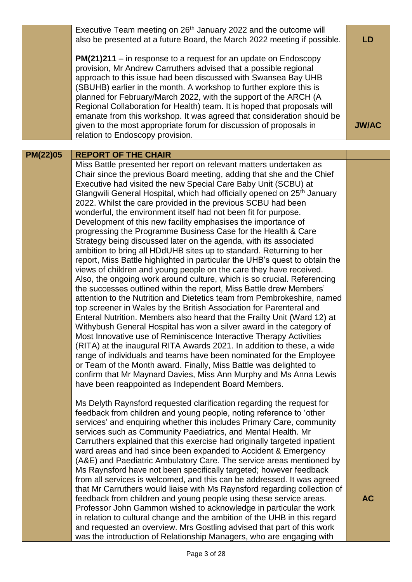|                 | Executive Team meeting on 26 <sup>th</sup> January 2022 and the outcome will<br>also be presented at a future Board, the March 2022 meeting if possible.                                                                                                                                                                                                                                                                                                                                                                                                                                                                                                                                                                                                                                                                                                                                                                                                                                                                                                                                                                                                                                                                                                                                                                                                                                                                                                                                                                                                                                                                                                                             | LD           |
|-----------------|--------------------------------------------------------------------------------------------------------------------------------------------------------------------------------------------------------------------------------------------------------------------------------------------------------------------------------------------------------------------------------------------------------------------------------------------------------------------------------------------------------------------------------------------------------------------------------------------------------------------------------------------------------------------------------------------------------------------------------------------------------------------------------------------------------------------------------------------------------------------------------------------------------------------------------------------------------------------------------------------------------------------------------------------------------------------------------------------------------------------------------------------------------------------------------------------------------------------------------------------------------------------------------------------------------------------------------------------------------------------------------------------------------------------------------------------------------------------------------------------------------------------------------------------------------------------------------------------------------------------------------------------------------------------------------------|--------------|
|                 | $PM(21)211 - in$ response to a request for an update on Endoscopy<br>provision, Mr Andrew Carruthers advised that a possible regional<br>approach to this issue had been discussed with Swansea Bay UHB<br>(SBUHB) earlier in the month. A workshop to further explore this is<br>planned for February/March 2022, with the support of the ARCH (A<br>Regional Collaboration for Health) team. It is hoped that proposals will<br>emanate from this workshop. It was agreed that consideration should be                                                                                                                                                                                                                                                                                                                                                                                                                                                                                                                                                                                                                                                                                                                                                                                                                                                                                                                                                                                                                                                                                                                                                                             |              |
|                 | given to the most appropriate forum for discussion of proposals in<br>relation to Endoscopy provision.                                                                                                                                                                                                                                                                                                                                                                                                                                                                                                                                                                                                                                                                                                                                                                                                                                                                                                                                                                                                                                                                                                                                                                                                                                                                                                                                                                                                                                                                                                                                                                               | <b>JW/AC</b> |
|                 |                                                                                                                                                                                                                                                                                                                                                                                                                                                                                                                                                                                                                                                                                                                                                                                                                                                                                                                                                                                                                                                                                                                                                                                                                                                                                                                                                                                                                                                                                                                                                                                                                                                                                      |              |
| <b>PM(22)05</b> | <b>REPORT OF THE CHAIR</b><br>Miss Battle presented her report on relevant matters undertaken as                                                                                                                                                                                                                                                                                                                                                                                                                                                                                                                                                                                                                                                                                                                                                                                                                                                                                                                                                                                                                                                                                                                                                                                                                                                                                                                                                                                                                                                                                                                                                                                     |              |
|                 | Chair since the previous Board meeting, adding that she and the Chief<br>Executive had visited the new Special Care Baby Unit (SCBU) at<br>Glangwili General Hospital, which had officially opened on 25 <sup>th</sup> January<br>2022. Whilst the care provided in the previous SCBU had been<br>wonderful, the environment itself had not been fit for purpose.<br>Development of this new facility emphasises the importance of<br>progressing the Programme Business Case for the Health & Care<br>Strategy being discussed later on the agenda, with its associated<br>ambition to bring all HDdUHB sites up to standard. Returning to her<br>report, Miss Battle highlighted in particular the UHB's quest to obtain the<br>views of children and young people on the care they have received.<br>Also, the ongoing work around culture, which is so crucial. Referencing<br>the successes outlined within the report, Miss Battle drew Members'<br>attention to the Nutrition and Dietetics team from Pembrokeshire, named<br>top screener in Wales by the British Association for Parenteral and<br>Enteral Nutrition. Members also heard that the Frailty Unit (Ward 12) at<br>Withybush General Hospital has won a silver award in the category of<br>Most Innovative use of Reminiscence Interactive Therapy Activities<br>(RITA) at the inaugural RITA Awards 2021. In addition to these, a wide<br>range of individuals and teams have been nominated for the Employee<br>or Team of the Month award. Finally, Miss Battle was delighted to<br>confirm that Mr Maynard Davies, Miss Ann Murphy and Ms Anna Lewis<br>have been reappointed as Independent Board Members. |              |
|                 | Ms Delyth Raynsford requested clarification regarding the request for<br>feedback from children and young people, noting reference to 'other<br>services' and enquiring whether this includes Primary Care, community<br>services such as Community Paediatrics, and Mental Health. Mr<br>Carruthers explained that this exercise had originally targeted inpatient<br>ward areas and had since been expanded to Accident & Emergency<br>(A&E) and Paediatric Ambulatory Care. The service areas mentioned by<br>Ms Raynsford have not been specifically targeted; however feedback<br>from all services is welcomed, and this can be addressed. It was agreed<br>that Mr Carruthers would liaise with Ms Raynsford regarding collection of<br>feedback from children and young people using these service areas.                                                                                                                                                                                                                                                                                                                                                                                                                                                                                                                                                                                                                                                                                                                                                                                                                                                                    | <b>AC</b>    |
|                 | Professor John Gammon wished to acknowledge in particular the work<br>in relation to cultural change and the ambition of the UHB in this regard<br>and requested an overview. Mrs Gostling advised that part of this work<br>was the introduction of Relationship Managers, who are engaging with                                                                                                                                                                                                                                                                                                                                                                                                                                                                                                                                                                                                                                                                                                                                                                                                                                                                                                                                                                                                                                                                                                                                                                                                                                                                                                                                                                                    |              |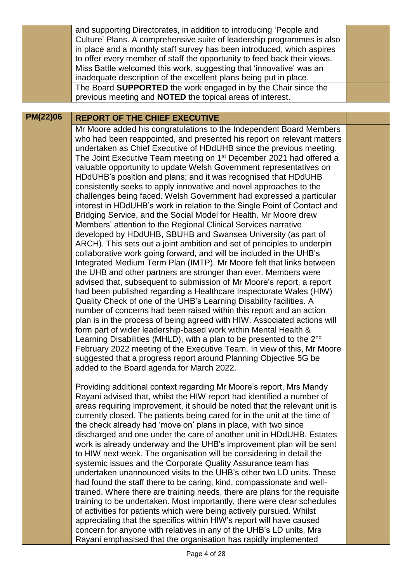|                 | and supporting Directorates, in addition to introducing 'People and<br>Culture' Plans. A comprehensive suite of leadership programmes is also          |  |
|-----------------|--------------------------------------------------------------------------------------------------------------------------------------------------------|--|
|                 | in place and a monthly staff survey has been introduced, which aspires                                                                                 |  |
|                 | to offer every member of staff the opportunity to feed back their views.                                                                               |  |
|                 | Miss Battle welcomed this work, suggesting that 'innovative' was an                                                                                    |  |
|                 | inadequate description of the excellent plans being put in place.                                                                                      |  |
|                 | The Board SUPPORTED the work engaged in by the Chair since the                                                                                         |  |
|                 | previous meeting and <b>NOTED</b> the topical areas of interest.                                                                                       |  |
| <b>PM(22)06</b> | <b>REPORT OF THE CHIEF EXECUTIVE</b>                                                                                                                   |  |
|                 | Mr Moore added his congratulations to the Independent Board Members                                                                                    |  |
|                 | who had been reappointed, and presented his report on relevant matters                                                                                 |  |
|                 | undertaken as Chief Executive of HDdUHB since the previous meeting.                                                                                    |  |
|                 | The Joint Executive Team meeting on 1 <sup>st</sup> December 2021 had offered a                                                                        |  |
|                 | valuable opportunity to update Welsh Government representatives on                                                                                     |  |
|                 | HDdUHB's position and plans; and it was recognised that HDdUHB                                                                                         |  |
|                 | consistently seeks to apply innovative and novel approaches to the<br>challenges being faced. Welsh Government had expressed a particular              |  |
|                 | interest in HDdUHB's work in relation to the Single Point of Contact and                                                                               |  |
|                 | Bridging Service, and the Social Model for Health. Mr Moore drew                                                                                       |  |
|                 | Members' attention to the Regional Clinical Services narrative                                                                                         |  |
|                 | developed by HDdUHB, SBUHB and Swansea University (as part of                                                                                          |  |
|                 | ARCH). This sets out a joint ambition and set of principles to underpin                                                                                |  |
|                 | collaborative work going forward, and will be included in the UHB's                                                                                    |  |
|                 | Integrated Medium Term Plan (IMTP). Mr Moore felt that links between                                                                                   |  |
|                 | the UHB and other partners are stronger than ever. Members were                                                                                        |  |
|                 | advised that, subsequent to submission of Mr Moore's report, a report                                                                                  |  |
|                 | had been published regarding a Healthcare Inspectorate Wales (HIW)                                                                                     |  |
|                 | Quality Check of one of the UHB's Learning Disability facilities. A<br>number of concerns had been raised within this report and an action             |  |
|                 | plan is in the process of being agreed with HIW. Associated actions will                                                                               |  |
|                 | form part of wider leadership-based work within Mental Health &                                                                                        |  |
|                 | Learning Disabilities (MHLD), with a plan to be presented to the 2 <sup>nd</sup>                                                                       |  |
|                 | February 2022 meeting of the Executive Team. In view of this, Mr Moore                                                                                 |  |
|                 | suggested that a progress report around Planning Objective 5G be                                                                                       |  |
|                 | added to the Board agenda for March 2022.                                                                                                              |  |
|                 |                                                                                                                                                        |  |
|                 | Providing additional context regarding Mr Moore's report, Mrs Mandy                                                                                    |  |
|                 | Rayani advised that, whilst the HIW report had identified a number of                                                                                  |  |
|                 | areas requiring improvement, it should be noted that the relevant unit is<br>currently closed. The patients being cared for in the unit at the time of |  |
|                 | the check already had 'move on' plans in place, with two since                                                                                         |  |
|                 | discharged and one under the care of another unit in HDdUHB. Estates                                                                                   |  |
|                 | work is already underway and the UHB's improvement plan will be sent                                                                                   |  |
|                 | to HIW next week. The organisation will be considering in detail the                                                                                   |  |
|                 | systemic issues and the Corporate Quality Assurance team has                                                                                           |  |
|                 | undertaken unannounced visits to the LIHR's other two LD units. These                                                                                  |  |

ed visits to the UHB´s other two had found the staff there to be caring, kind, compassionate and welltrained. Where there are training needs, there are plans for the requisite training to be undertaken. Most importantly, there were clear schedules of activities for patients which were being actively pursued. Whilst appreciating that the specifics within HIW's report will have caused concern for anyone with relatives in any of the UHB's LD units, Mrs Rayani emphasised that the organisation has rapidly implemented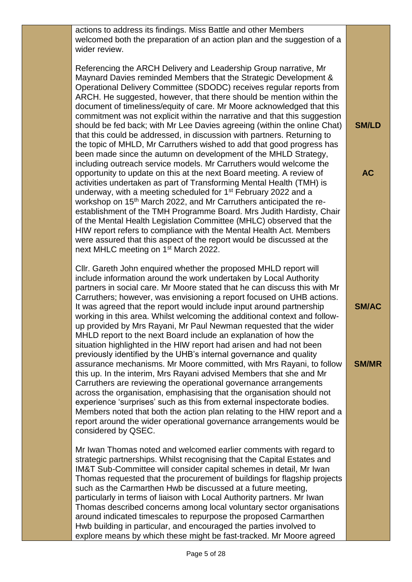actions to address its findings. Miss Battle and other Members welcomed both the preparation of an action plan and the suggestion of a wider review.

Referencing the ARCH Delivery and Leadership Group narrative, Mr Maynard Davies reminded Members that the Strategic Development & Operational Delivery Committee (SDODC) receives regular reports from ARCH. He suggested, however, that there should be mention within the document of timeliness/equity of care. Mr Moore acknowledged that this commitment was not explicit within the narrative and that this suggestion should be fed back; with Mr Lee Davies agreeing (within the online Chat) that this could be addressed, in discussion with partners. Returning to the topic of MHLD, Mr Carruthers wished to add that good progress has been made since the autumn on development of the MHLD Strategy, including outreach service models. Mr Carruthers would welcome the opportunity to update on this at the next Board meeting. A review of activities undertaken as part of Transforming Mental Health (TMH) is underway, with a meeting scheduled for 1<sup>st</sup> February 2022 and a workshop on 15<sup>th</sup> March 2022, and Mr Carruthers anticipated the reestablishment of the TMH Programme Board. Mrs Judith Hardisty, Chair of the Mental Health Legislation Committee (MHLC) observed that the HIW report refers to compliance with the Mental Health Act. Members were assured that this aspect of the report would be discussed at the next MHLC meeting on 1<sup>st</sup> March 2022.

**SM/LD**

**AC**

**SM/AC**

**SM/MR**

Cllr. Gareth John enquired whether the proposed MHLD report will include information around the work undertaken by Local Authority partners in social care. Mr Moore stated that he can discuss this with Mr Carruthers; however, was envisioning a report focused on UHB actions. It was agreed that the report would include input around partnership working in this area. Whilst welcoming the additional context and followup provided by Mrs Rayani, Mr Paul Newman requested that the wider MHLD report to the next Board include an explanation of how the situation highlighted in the HIW report had arisen and had not been previously identified by the UHB's internal governance and quality assurance mechanisms. Mr Moore committed, with Mrs Rayani, to follow this up. In the interim, Mrs Rayani advised Members that she and Mr Carruthers are reviewing the operational governance arrangements across the organisation, emphasising that the organisation should not experience 'surprises' such as this from external inspectorate bodies. Members noted that both the action plan relating to the HIW report and a report around the wider operational governance arrangements would be considered by QSEC.

Mr Iwan Thomas noted and welcomed earlier comments with regard to strategic partnerships. Whilst recognising that the Capital Estates and IM&T Sub-Committee will consider capital schemes in detail, Mr Iwan Thomas requested that the procurement of buildings for flagship projects such as the Carmarthen Hwb be discussed at a future meeting, particularly in terms of liaison with Local Authority partners. Mr Iwan Thomas described concerns among local voluntary sector organisations around indicated timescales to repurpose the proposed Carmarthen Hwb building in particular, and encouraged the parties involved to explore means by which these might be fast-tracked. Mr Moore agreed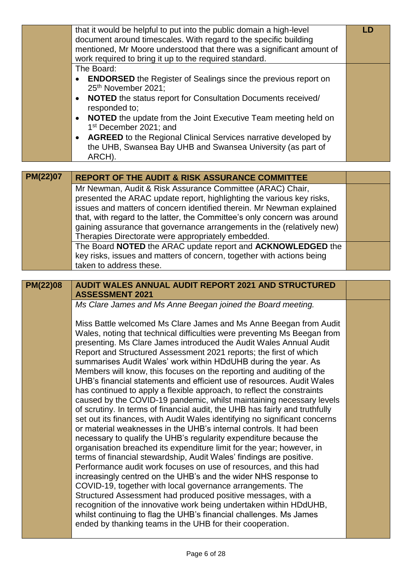|                 | that it would be helpful to put into the public domain a high-level                                                                                       | <b>LD</b> |
|-----------------|-----------------------------------------------------------------------------------------------------------------------------------------------------------|-----------|
|                 | document around timescales. With regard to the specific building                                                                                          |           |
|                 | mentioned, Mr Moore understood that there was a significant amount of                                                                                     |           |
|                 | work required to bring it up to the required standard.                                                                                                    |           |
|                 | The Board:                                                                                                                                                |           |
|                 | <b>ENDORSED</b> the Register of Sealings since the previous report on                                                                                     |           |
|                 | 25th November 2021;                                                                                                                                       |           |
|                 | NOTED the status report for Consultation Documents received/<br>$\bullet$                                                                                 |           |
|                 | responded to;                                                                                                                                             |           |
|                 | <b>NOTED</b> the update from the Joint Executive Team meeting held on<br>$\bullet$                                                                        |           |
|                 | 1 <sup>st</sup> December 2021; and                                                                                                                        |           |
|                 | <b>AGREED</b> to the Regional Clinical Services narrative developed by<br>$\bullet$                                                                       |           |
|                 | the UHB, Swansea Bay UHB and Swansea University (as part of                                                                                               |           |
|                 | ARCH).                                                                                                                                                    |           |
|                 |                                                                                                                                                           |           |
| <b>PM(22)07</b> | <b>REPORT OF THE AUDIT &amp; RISK ASSURANCE COMMITTEE</b>                                                                                                 |           |
|                 | Mr Newman, Audit & Risk Assurance Committee (ARAC) Chair,                                                                                                 |           |
|                 | presented the ARAC update report, highlighting the various key risks,                                                                                     |           |
|                 | issues and matters of concern identified therein. Mr Newman explained                                                                                     |           |
|                 | that, with regard to the latter, the Committee's only concern was around                                                                                  |           |
|                 | gaining assurance that governance arrangements in the (relatively new)                                                                                    |           |
|                 | Therapies Directorate were appropriately embedded.                                                                                                        |           |
|                 | The Board NOTED the ARAC update report and ACKNOWLEDGED the                                                                                               |           |
|                 | key risks, issues and matters of concern, together with actions being                                                                                     |           |
|                 | taken to address these.                                                                                                                                   |           |
|                 |                                                                                                                                                           |           |
|                 |                                                                                                                                                           |           |
| <b>PM(22)08</b> | <b>AUDIT WALES ANNUAL AUDIT REPORT 2021 AND STRUCTURED</b>                                                                                                |           |
|                 | <b>ASSESSMENT 2021</b>                                                                                                                                    |           |
|                 | Ms Clare James and Ms Anne Beegan joined the Board meeting.                                                                                               |           |
|                 |                                                                                                                                                           |           |
|                 | Miss Battle welcomed Ms Clare James and Ms Anne Beegan from Audit                                                                                         |           |
|                 | Wales, noting that technical difficulties were preventing Ms Beegan from                                                                                  |           |
|                 | presenting. Ms Clare James introduced the Audit Wales Annual Audit                                                                                        |           |
|                 | Report and Structured Assessment 2021 reports; the first of which                                                                                         |           |
|                 | summarises Audit Wales' work within HDdUHB during the year. As                                                                                            |           |
|                 | Members will know, this focuses on the reporting and auditing of the                                                                                      |           |
|                 | UHB's financial statements and efficient use of resources. Audit Wales                                                                                    |           |
|                 | has continued to apply a flexible approach, to reflect the constraints                                                                                    |           |
|                 | caused by the COVID-19 pandemic, whilst maintaining necessary levels                                                                                      |           |
|                 | of scrutiny. In terms of financial audit, the UHB has fairly and truthfully<br>set out its finances, with Audit Wales identifying no significant concerns |           |
|                 | or material weaknesses in the UHB's internal controls. It had been                                                                                        |           |
|                 | necessary to qualify the UHB's regularity expenditure because the                                                                                         |           |
|                 | organisation breached its expenditure limit for the year; however, in                                                                                     |           |
|                 | terms of financial stewardship, Audit Wales' findings are positive.                                                                                       |           |
|                 | Performance audit work focuses on use of resources, and this had                                                                                          |           |
|                 | increasingly centred on the UHB's and the wider NHS response to                                                                                           |           |
|                 | COVID-19, together with local governance arrangements. The                                                                                                |           |
|                 | Structured Assessment had produced positive messages, with a                                                                                              |           |
|                 | recognition of the innovative work being undertaken within HDdUHB,                                                                                        |           |
|                 | whilst continuing to flag the UHB's financial challenges. Ms James                                                                                        |           |
|                 | ended by thanking teams in the UHB for their cooperation.                                                                                                 |           |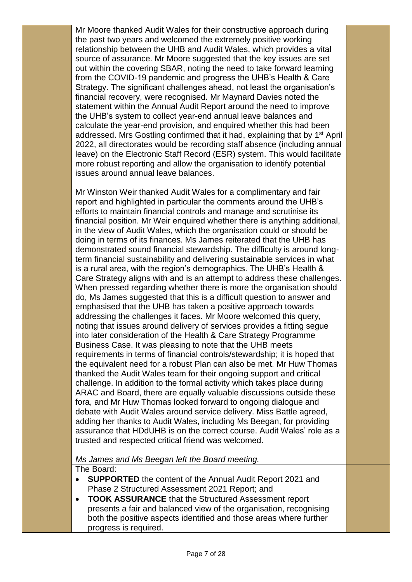Mr Moore thanked Audit Wales for their constructive approach during the past two years and welcomed the extremely positive working relationship between the UHB and Audit Wales, which provides a vital source of assurance. Mr Moore suggested that the key issues are set out within the covering SBAR, noting the need to take forward learning from the COVID-19 pandemic and progress the UHB's Health & Care Strategy. The significant challenges ahead, not least the organisation's financial recovery, were recognised. Mr Maynard Davies noted the statement within the Annual Audit Report around the need to improve the UHB's system to collect year-end annual leave balances and calculate the year-end provision, and enquired whether this had been addressed. Mrs Gostling confirmed that it had, explaining that by 1<sup>st</sup> April 2022, all directorates would be recording staff absence (including annual leave) on the Electronic Staff Record (ESR) system. This would facilitate more robust reporting and allow the organisation to identify potential issues around annual leave balances.

Mr Winston Weir thanked Audit Wales for a complimentary and fair report and highlighted in particular the comments around the UHB's efforts to maintain financial controls and manage and scrutinise its financial position. Mr Weir enquired whether there is anything additional, in the view of Audit Wales, which the organisation could or should be doing in terms of its finances. Ms James reiterated that the UHB has demonstrated sound financial stewardship. The difficulty is around longterm financial sustainability and delivering sustainable services in what is a rural area, with the region's demographics. The UHB's Health & Care Strategy aligns with and is an attempt to address these challenges. When pressed regarding whether there is more the organisation should do, Ms James suggested that this is a difficult question to answer and emphasised that the UHB has taken a positive approach towards addressing the challenges it faces. Mr Moore welcomed this query, noting that issues around delivery of services provides a fitting segue into later consideration of the Health & Care Strategy Programme Business Case. It was pleasing to note that the UHB meets requirements in terms of financial controls/stewardship; it is hoped that the equivalent need for a robust Plan can also be met. Mr Huw Thomas thanked the Audit Wales team for their ongoing support and critical challenge. In addition to the formal activity which takes place during ARAC and Board, there are equally valuable discussions outside these fora, and Mr Huw Thomas looked forward to ongoing dialogue and debate with Audit Wales around service delivery. Miss Battle agreed, adding her thanks to Audit Wales, including Ms Beegan, for providing assurance that HDdUHB is on the correct course. Audit Wales' role as a trusted and respected critical friend was welcomed.

*Ms James and Ms Beegan left the Board meeting.*

The Board:

- **SUPPORTED** the content of the Annual Audit Report 2021 and Phase 2 Structured Assessment 2021 Report; and
- **TOOK ASSURANCE** that the Structured Assessment report presents a fair and balanced view of the organisation, recognising both the positive aspects identified and those areas where further progress is required.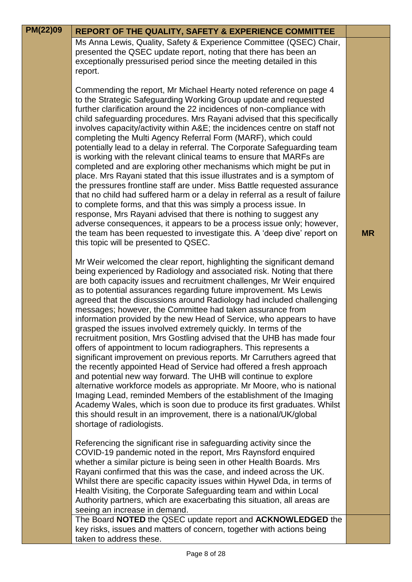| PM(22)09 | <b>REPORT OF THE QUALITY, SAFETY &amp; EXPERIENCE COMMITTEE</b>                                                                                                                                                                                                                                                                                                                                                                                                                                                                                                                                                                                                                                                                                                                                                                                                                                                                                                                                                                                                                                                                                                                                                                                                              |           |
|----------|------------------------------------------------------------------------------------------------------------------------------------------------------------------------------------------------------------------------------------------------------------------------------------------------------------------------------------------------------------------------------------------------------------------------------------------------------------------------------------------------------------------------------------------------------------------------------------------------------------------------------------------------------------------------------------------------------------------------------------------------------------------------------------------------------------------------------------------------------------------------------------------------------------------------------------------------------------------------------------------------------------------------------------------------------------------------------------------------------------------------------------------------------------------------------------------------------------------------------------------------------------------------------|-----------|
|          | Ms Anna Lewis, Quality, Safety & Experience Committee (QSEC) Chair,<br>presented the QSEC update report, noting that there has been an<br>exceptionally pressurised period since the meeting detailed in this<br>report.                                                                                                                                                                                                                                                                                                                                                                                                                                                                                                                                                                                                                                                                                                                                                                                                                                                                                                                                                                                                                                                     |           |
|          | Commending the report, Mr Michael Hearty noted reference on page 4<br>to the Strategic Safeguarding Working Group update and requested<br>further clarification around the 22 incidences of non-compliance with<br>child safeguarding procedures. Mrs Rayani advised that this specifically<br>involves capacity/activity within A&E the incidences centre on staff not<br>completing the Multi Agency Referral Form (MARF), which could<br>potentially lead to a delay in referral. The Corporate Safeguarding team<br>is working with the relevant clinical teams to ensure that MARFs are<br>completed and are exploring other mechanisms which might be put in<br>place. Mrs Rayani stated that this issue illustrates and is a symptom of<br>the pressures frontline staff are under. Miss Battle requested assurance<br>that no child had suffered harm or a delay in referral as a result of failure<br>to complete forms, and that this was simply a process issue. In<br>response, Mrs Rayani advised that there is nothing to suggest any<br>adverse consequences, it appears to be a process issue only; however,<br>the team has been requested to investigate this. A 'deep dive' report on<br>this topic will be presented to QSEC.                            | <b>MR</b> |
|          | Mr Weir welcomed the clear report, highlighting the significant demand<br>being experienced by Radiology and associated risk. Noting that there<br>are both capacity issues and recruitment challenges, Mr Weir enquired<br>as to potential assurances regarding future improvement. Ms Lewis<br>agreed that the discussions around Radiology had included challenging<br>messages; however, the Committee had taken assurance from<br>information provided by the new Head of Service, who appears to have<br>grasped the issues involved extremely quickly. In terms of the<br>recruitment position, Mrs Gostling advised that the UHB has made four<br>offers of appointment to locum radiographers. This represents a<br>significant improvement on previous reports. Mr Carruthers agreed that<br>the recently appointed Head of Service had offered a fresh approach<br>and potential new way forward. The UHB will continue to explore<br>alternative workforce models as appropriate. Mr Moore, who is national<br>Imaging Lead, reminded Members of the establishment of the Imaging<br>Academy Wales, which is soon due to produce its first graduates. Whilst<br>this should result in an improvement, there is a national/UK/global<br>shortage of radiologists. |           |
|          | Referencing the significant rise in safeguarding activity since the<br>COVID-19 pandemic noted in the report, Mrs Raynsford enquired<br>whether a similar picture is being seen in other Health Boards. Mrs<br>Rayani confirmed that this was the case, and indeed across the UK.<br>Whilst there are specific capacity issues within Hywel Dda, in terms of<br>Health Visiting, the Corporate Safeguarding team and within Local<br>Authority partners, which are exacerbating this situation, all areas are<br>seeing an increase in demand.                                                                                                                                                                                                                                                                                                                                                                                                                                                                                                                                                                                                                                                                                                                               |           |
|          | The Board NOTED the QSEC update report and ACKNOWLEDGED the<br>key risks, issues and matters of concern, together with actions being<br>taken to address these.                                                                                                                                                                                                                                                                                                                                                                                                                                                                                                                                                                                                                                                                                                                                                                                                                                                                                                                                                                                                                                                                                                              |           |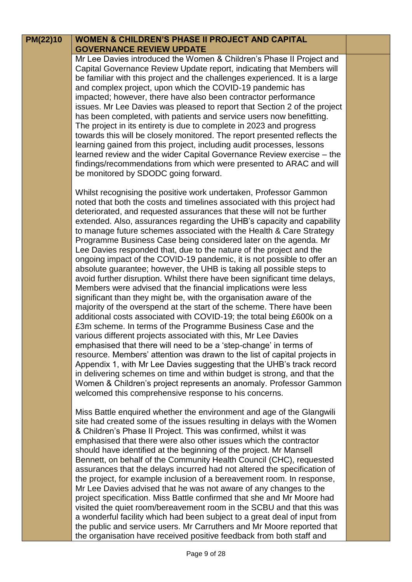| PM(22)10 | <b>WOMEN &amp; CHILDREN'S PHASE II PROJECT AND CAPITAL</b><br><b>GOVERNANCE REVIEW UPDATE</b>                                                                                                                                                                                                                                                                                                                                                                                                                                                                                                 |  |
|----------|-----------------------------------------------------------------------------------------------------------------------------------------------------------------------------------------------------------------------------------------------------------------------------------------------------------------------------------------------------------------------------------------------------------------------------------------------------------------------------------------------------------------------------------------------------------------------------------------------|--|
|          | Mr Lee Davies introduced the Women & Children's Phase II Project and<br>Capital Governance Review Update report, indicating that Members will<br>be familiar with this project and the challenges experienced. It is a large                                                                                                                                                                                                                                                                                                                                                                  |  |
|          | and complex project, upon which the COVID-19 pandemic has<br>impacted; however, there have also been contractor performance<br>issues. Mr Lee Davies was pleased to report that Section 2 of the project<br>has been completed, with patients and service users now benefitting.<br>The project in its entirety is due to complete in 2023 and progress<br>towards this will be closely monitored. The report presented reflects the<br>learning gained from this project, including audit processes, lessons                                                                                 |  |
|          | learned review and the wider Capital Governance Review exercise – the<br>findings/recommendations from which were presented to ARAC and will<br>be monitored by SDODC going forward.                                                                                                                                                                                                                                                                                                                                                                                                          |  |
|          | Whilst recognising the positive work undertaken, Professor Gammon<br>noted that both the costs and timelines associated with this project had<br>deteriorated, and requested assurances that these will not be further<br>extended. Also, assurances regarding the UHB's capacity and capability<br>to manage future schemes associated with the Health & Care Strategy<br>Programme Business Case being considered later on the agenda. Mr<br>Lee Davies responded that, due to the nature of the project and the<br>ongoing impact of the COVID-19 pandemic, it is not possible to offer an |  |
|          | absolute guarantee; however, the UHB is taking all possible steps to<br>avoid further disruption. Whilst there have been significant time delays,<br>Members were advised that the financial implications were less<br>significant than they might be, with the organisation aware of the<br>majority of the overspend at the start of the scheme. There have been<br>additional costs associated with COVID-19; the total being £600k on a<br>£3m scheme. In terms of the Programme Business Case and the                                                                                    |  |
|          | various different projects associated with this, Mr Lee Davies<br>emphasised that there will need to be a 'step-change' in terms of<br>resource. Members' attention was drawn to the list of capital projects in<br>Appendix 1, with Mr Lee Davies suggesting that the UHB's track record<br>in delivering schemes on time and within budget is strong, and that the<br>Women & Children's project represents an anomaly. Professor Gammon<br>welcomed this comprehensive response to his concerns.                                                                                           |  |
|          | Miss Battle enquired whether the environment and age of the Glangwili<br>site had created some of the issues resulting in delays with the Women<br>& Children's Phase II Project. This was confirmed, whilst it was<br>emphasised that there were also other issues which the contractor<br>should have identified at the beginning of the project. Mr Mansell                                                                                                                                                                                                                                |  |

Bennett, on behalf of the Community Health Council (CHC), requested assurances that the delays incurred had not altered the specification of the project, for example inclusion of a bereavement room. In response, Mr Lee Davies advised that he was not aware of any changes to the project specification. Miss Battle confirmed that she and Mr Moore had visited the quiet room/bereavement room in the SCBU and that this was a wonderful facility which had been subject to a great deal of input from the public and service users. Mr Carruthers and Mr Moore reported that the organisation have received positive feedback from both staff and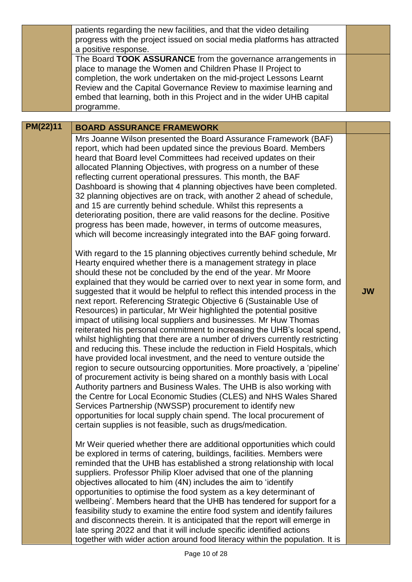|          | patients regarding the new facilities, and that the video detailing<br>progress with the project issued on social media platforms has attracted<br>a positive response.<br>The Board TOOK ASSURANCE from the governance arrangements in<br>place to manage the Women and Children Phase II Project to<br>completion, the work undertaken on the mid-project Lessons Learnt<br>Review and the Capital Governance Review to maximise learning and                                                                                                                                                                                                                                                                                                                                                                                                                                                                                                                                                                                                                                                                                                                                                                                                                                                                                    |           |
|----------|------------------------------------------------------------------------------------------------------------------------------------------------------------------------------------------------------------------------------------------------------------------------------------------------------------------------------------------------------------------------------------------------------------------------------------------------------------------------------------------------------------------------------------------------------------------------------------------------------------------------------------------------------------------------------------------------------------------------------------------------------------------------------------------------------------------------------------------------------------------------------------------------------------------------------------------------------------------------------------------------------------------------------------------------------------------------------------------------------------------------------------------------------------------------------------------------------------------------------------------------------------------------------------------------------------------------------------|-----------|
|          | embed that learning, both in this Project and in the wider UHB capital<br>programme.                                                                                                                                                                                                                                                                                                                                                                                                                                                                                                                                                                                                                                                                                                                                                                                                                                                                                                                                                                                                                                                                                                                                                                                                                                               |           |
| PM(22)11 | <b>BOARD ASSURANCE FRAMEWORK</b>                                                                                                                                                                                                                                                                                                                                                                                                                                                                                                                                                                                                                                                                                                                                                                                                                                                                                                                                                                                                                                                                                                                                                                                                                                                                                                   |           |
|          | Mrs Joanne Wilson presented the Board Assurance Framework (BAF)<br>report, which had been updated since the previous Board. Members<br>heard that Board level Committees had received updates on their<br>allocated Planning Objectives, with progress on a number of these<br>reflecting current operational pressures. This month, the BAF<br>Dashboard is showing that 4 planning objectives have been completed.<br>32 planning objectives are on track, with another 2 ahead of schedule,<br>and 15 are currently behind schedule. Whilst this represents a<br>deteriorating position, there are valid reasons for the decline. Positive<br>progress has been made, however, in terms of outcome measures,<br>which will become increasingly integrated into the BAF going forward.<br>With regard to the 15 planning objectives currently behind schedule, Mr                                                                                                                                                                                                                                                                                                                                                                                                                                                                |           |
|          | Hearty enquired whether there is a management strategy in place<br>should these not be concluded by the end of the year. Mr Moore<br>explained that they would be carried over to next year in some form, and<br>suggested that it would be helpful to reflect this intended process in the<br>next report. Referencing Strategic Objective 6 (Sustainable Use of<br>Resources) in particular, Mr Weir highlighted the potential positive<br>impact of utilising local suppliers and businesses. Mr Huw Thomas<br>reiterated his personal commitment to increasing the UHB's local spend,<br>whilst highlighting that there are a number of drivers currently restricting<br>and reducing this. These include the reduction in Field Hospitals, which<br>have provided local investment, and the need to venture outside the<br>region to secure outsourcing opportunities. More proactively, a 'pipeline'<br>of procurement activity is being shared on a monthly basis with Local<br>Authority partners and Business Wales. The UHB is also working with<br>the Centre for Local Economic Studies (CLES) and NHS Wales Shared<br>Services Partnership (NWSSP) procurement to identify new<br>opportunities for local supply chain spend. The local procurement of<br>certain supplies is not feasible, such as drugs/medication. | <b>JW</b> |
|          | Mr Weir queried whether there are additional opportunities which could<br>be explored in terms of catering, buildings, facilities. Members were<br>reminded that the UHB has established a strong relationship with local<br>suppliers. Professor Philip Kloer advised that one of the planning<br>objectives allocated to him (4N) includes the aim to 'identify<br>opportunities to optimise the food system as a key determinant of<br>wellbeing'. Members heard that the UHB has tendered for support for a<br>feasibility study to examine the entire food system and identify failures<br>and disconnects therein. It is anticipated that the report will emerge in<br>late spring 2022 and that it will include specific identified actions<br>together with wider action around food literacy within the population. It is                                                                                                                                                                                                                                                                                                                                                                                                                                                                                                 |           |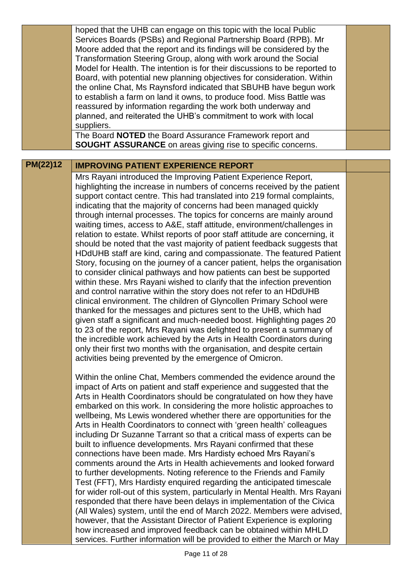|          | hoped that the UHB can engage on this topic with the local Public<br>Services Boards (PSBs) and Regional Partnership Board (RPB). Mr<br>Moore added that the report and its findings will be considered by the<br>Transformation Steering Group, along with work around the Social<br>Model for Health. The intention is for their discussions to be reported to<br>Board, with potential new planning objectives for consideration. Within<br>the online Chat, Ms Raynsford indicated that SBUHB have begun work<br>to establish a farm on land it owns, to produce food. Miss Battle was<br>reassured by information regarding the work both underway and<br>planned, and reiterated the UHB's commitment to work with local<br>suppliers.<br>The Board NOTED the Board Assurance Framework report and                                                                                                                                                                                                                                                                                                                                                                                                                                                                                                                                                                                                                                                                                                  |  |
|----------|-----------------------------------------------------------------------------------------------------------------------------------------------------------------------------------------------------------------------------------------------------------------------------------------------------------------------------------------------------------------------------------------------------------------------------------------------------------------------------------------------------------------------------------------------------------------------------------------------------------------------------------------------------------------------------------------------------------------------------------------------------------------------------------------------------------------------------------------------------------------------------------------------------------------------------------------------------------------------------------------------------------------------------------------------------------------------------------------------------------------------------------------------------------------------------------------------------------------------------------------------------------------------------------------------------------------------------------------------------------------------------------------------------------------------------------------------------------------------------------------------------------|--|
|          | <b>SOUGHT ASSURANCE</b> on areas giving rise to specific concerns.                                                                                                                                                                                                                                                                                                                                                                                                                                                                                                                                                                                                                                                                                                                                                                                                                                                                                                                                                                                                                                                                                                                                                                                                                                                                                                                                                                                                                                        |  |
| PM(22)12 | <b>IMPROVING PATIENT EXPERIENCE REPORT</b>                                                                                                                                                                                                                                                                                                                                                                                                                                                                                                                                                                                                                                                                                                                                                                                                                                                                                                                                                                                                                                                                                                                                                                                                                                                                                                                                                                                                                                                                |  |
|          | Mrs Rayani introduced the Improving Patient Experience Report,<br>highlighting the increase in numbers of concerns received by the patient<br>support contact centre. This had translated into 219 formal complaints,<br>indicating that the majority of concerns had been managed quickly<br>through internal processes. The topics for concerns are mainly around<br>waiting times, access to A&E, staff attitude, environment/challenges in<br>relation to estate. Whilst reports of poor staff attitude are concerning, it<br>should be noted that the vast majority of patient feedback suggests that<br>HDdUHB staff are kind, caring and compassionate. The featured Patient<br>Story, focusing on the journey of a cancer patient, helps the organisation<br>to consider clinical pathways and how patients can best be supported<br>within these. Mrs Rayani wished to clarify that the infection prevention<br>and control narrative within the story does not refer to an HDdUHB<br>clinical environment. The children of Glyncollen Primary School were<br>thanked for the messages and pictures sent to the UHB, which had<br>given staff a significant and much-needed boost. Highlighting pages 20<br>to 23 of the report, Mrs Rayani was delighted to present a summary of<br>the incredible work achieved by the Arts in Health Coordinators during<br>only their first two months with the organisation, and despite certain<br>activities being prevented by the emergence of Omicron. |  |
|          | Within the online Chat, Members commended the evidence around the<br>impact of Arts on patient and staff experience and suggested that the<br>Arts in Health Coordinators should be congratulated on how they have<br>embarked on this work. In considering the more holistic approaches to<br>wellbeing, Ms Lewis wondered whether there are opportunities for the<br>Arts in Health Coordinators to connect with 'green health' colleagues<br>including Dr Suzanne Tarrant so that a critical mass of experts can be<br>built to influence developments. Mrs Rayani confirmed that these<br>connections have been made. Mrs Hardisty echoed Mrs Rayani's<br>comments around the Arts in Health achievements and looked forward<br>to further developments. Noting reference to the Friends and Family<br>Test (FFT), Mrs Hardisty enquired regarding the anticipated timescale<br>for wider roll-out of this system, particularly in Mental Health. Mrs Rayani<br>responded that there have been delays in implementation of the Civica<br>(All Wales) system, until the end of March 2022. Members were advised,<br>however, that the Assistant Director of Patient Experience is exploring<br>how increased and improved feedback can be obtained within MHLD<br>services. Further information will be provided to either the March or May                                                                                                                                                            |  |
|          | Page 11 of 28                                                                                                                                                                                                                                                                                                                                                                                                                                                                                                                                                                                                                                                                                                                                                                                                                                                                                                                                                                                                                                                                                                                                                                                                                                                                                                                                                                                                                                                                                             |  |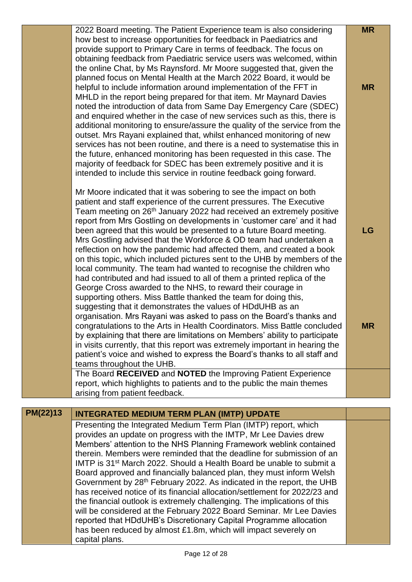|          | 2022 Board meeting. The Patient Experience team is also considering                                                                                        | <b>MR</b> |
|----------|------------------------------------------------------------------------------------------------------------------------------------------------------------|-----------|
|          | how best to increase opportunities for feedback in Paediatrics and<br>provide support to Primary Care in terms of feedback. The focus on                   |           |
|          | obtaining feedback from Paediatric service users was welcomed, within                                                                                      |           |
|          | the online Chat, by Ms Raynsford. Mr Moore suggested that, given the                                                                                       |           |
|          | planned focus on Mental Health at the March 2022 Board, it would be                                                                                        |           |
|          | helpful to include information around implementation of the FFT in                                                                                         | <b>MR</b> |
|          | MHLD in the report being prepared for that item. Mr Maynard Davies                                                                                         |           |
|          | noted the introduction of data from Same Day Emergency Care (SDEC)                                                                                         |           |
|          | and enquired whether in the case of new services such as this, there is                                                                                    |           |
|          | additional monitoring to ensure/assure the quality of the service from the<br>outset. Mrs Rayani explained that, whilst enhanced monitoring of new         |           |
|          | services has not been routine, and there is a need to systematise this in                                                                                  |           |
|          | the future, enhanced monitoring has been requested in this case. The                                                                                       |           |
|          | majority of feedback for SDEC has been extremely positive and it is                                                                                        |           |
|          | intended to include this service in routine feedback going forward.                                                                                        |           |
|          |                                                                                                                                                            |           |
|          | Mr Moore indicated that it was sobering to see the impact on both                                                                                          |           |
|          | patient and staff experience of the current pressures. The Executive                                                                                       |           |
|          | Team meeting on 26 <sup>th</sup> January 2022 had received an extremely positive<br>report from Mrs Gostling on developments in 'customer care' and it had |           |
|          | been agreed that this would be presented to a future Board meeting.                                                                                        | LG        |
|          | Mrs Gostling advised that the Workforce & OD team had undertaken a                                                                                         |           |
|          | reflection on how the pandemic had affected them, and created a book                                                                                       |           |
|          | on this topic, which included pictures sent to the UHB by members of the                                                                                   |           |
|          | local community. The team had wanted to recognise the children who                                                                                         |           |
|          | had contributed and had issued to all of them a printed replica of the                                                                                     |           |
|          | George Cross awarded to the NHS, to reward their courage in                                                                                                |           |
|          | supporting others. Miss Battle thanked the team for doing this,<br>suggesting that it demonstrates the values of HDdUHB as an                              |           |
|          | organisation. Mrs Rayani was asked to pass on the Board's thanks and                                                                                       |           |
|          | congratulations to the Arts in Health Coordinators. Miss Battle concluded                                                                                  | <b>MR</b> |
|          | by explaining that there are limitations on Members' ability to participate                                                                                |           |
|          | in visits currently, that this report was extremely important in hearing the                                                                               |           |
|          | patient's voice and wished to express the Board's thanks to all staff and                                                                                  |           |
|          | teams throughout the UHB.                                                                                                                                  |           |
|          | The Board RECEIVED and NOTED the Improving Patient Experience                                                                                              |           |
|          | report, which highlights to patients and to the public the main themes<br>arising from patient feedback.                                                   |           |
|          |                                                                                                                                                            |           |
| PM(22)13 | <b>INTEGRATED MEDIUM TERM PLAN (IMTP) UPDATE</b>                                                                                                           |           |
|          | Presenting the Integrated Medium Term Plan (IMTP) report, which                                                                                            |           |
|          | provides an update on progress with the IMTP, Mr Lee Davies drew                                                                                           |           |
|          | Members' attention to the NHS Planning Framework weblink contained                                                                                         |           |
|          | therein. Members were reminded that the deadline for submission of an                                                                                      |           |
|          | IMTP is 31 <sup>st</sup> March 2022. Should a Health Board be unable to submit a<br>Board approved and financially balanced plan, they must inform Welsh   |           |
|          | Government by 28 <sup>th</sup> February 2022. As indicated in the report, the UHB                                                                          |           |
|          | has received notice of its financial allocation/settlement for 2022/23 and                                                                                 |           |
|          | the financial outlook is extremely challenging. The implications of this                                                                                   |           |
|          | will be considered at the February 2022 Board Seminar. Mr Lee Davies                                                                                       |           |
|          | reported that HDdUHB's Discretionary Capital Programme allocation                                                                                          |           |

has been reduced by almost £1.8m, which will impact severely on

capital plans.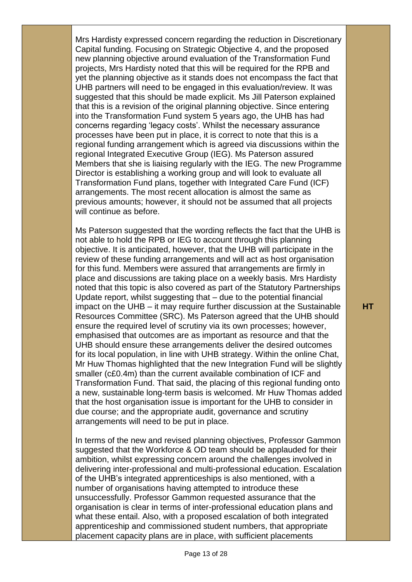Mrs Hardisty expressed concern regarding the reduction in Discretionary Capital funding. Focusing on Strategic Objective 4, and the proposed new planning objective around evaluation of the Transformation Fund projects, Mrs Hardisty noted that this will be required for the RPB and yet the planning objective as it stands does not encompass the fact that UHB partners will need to be engaged in this evaluation/review. It was suggested that this should be made explicit. Ms Jill Paterson explained that this is a revision of the original planning objective. Since entering into the Transformation Fund system 5 years ago, the UHB has had concerns regarding 'legacy costs'. Whilst the necessary assurance processes have been put in place, it is correct to note that this is a regional funding arrangement which is agreed via discussions within the regional Integrated Executive Group (IEG). Ms Paterson assured Members that she is liaising regularly with the IEG. The new Programme Director is establishing a working group and will look to evaluate all Transformation Fund plans, together with Integrated Care Fund (ICF) arrangements. The most recent allocation is almost the same as previous amounts; however, it should not be assumed that all projects will continue as before.

Ms Paterson suggested that the wording reflects the fact that the UHB is not able to hold the RPB or IEG to account through this planning objective. It is anticipated, however, that the UHB will participate in the review of these funding arrangements and will act as host organisation for this fund. Members were assured that arrangements are firmly in place and discussions are taking place on a weekly basis. Mrs Hardisty noted that this topic is also covered as part of the Statutory Partnerships Update report, whilst suggesting that – due to the potential financial impact on the UHB – it may require further discussion at the Sustainable Resources Committee (SRC). Ms Paterson agreed that the UHB should ensure the required level of scrutiny via its own processes; however, emphasised that outcomes are as important as resource and that the UHB should ensure these arrangements deliver the desired outcomes for its local population, in line with UHB strategy. Within the online Chat, Mr Huw Thomas highlighted that the new Integration Fund will be slightly smaller (c£0.4m) than the current available combination of ICF and Transformation Fund. That said, the placing of this regional funding onto a new, sustainable long-term basis is welcomed. Mr Huw Thomas added that the host organisation issue is important for the UHB to consider in due course; and the appropriate audit, governance and scrutiny arrangements will need to be put in place.

In terms of the new and revised planning objectives, Professor Gammon suggested that the Workforce & OD team should be applauded for their ambition, whilst expressing concern around the challenges involved in delivering inter-professional and multi-professional education. Escalation of the UHB's integrated apprenticeships is also mentioned, with a number of organisations having attempted to introduce these unsuccessfully. Professor Gammon requested assurance that the organisation is clear in terms of inter-professional education plans and what these entail. Also, with a proposed escalation of both integrated apprenticeship and commissioned student numbers, that appropriate placement capacity plans are in place, with sufficient placements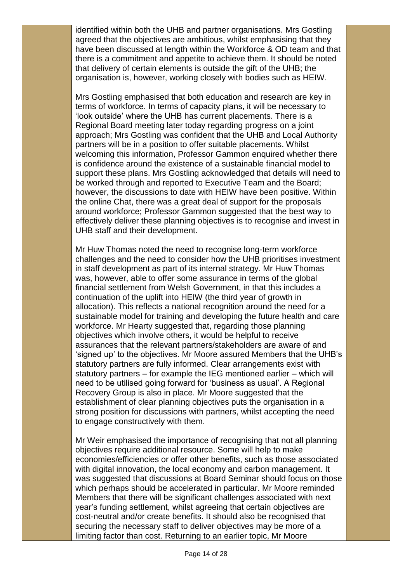identified within both the UHB and partner organisations. Mrs Gostling agreed that the objectives are ambitious, whilst emphasising that they have been discussed at length within the Workforce & OD team and that there is a commitment and appetite to achieve them. It should be noted that delivery of certain elements is outside the gift of the UHB; the organisation is, however, working closely with bodies such as HEIW.

Mrs Gostling emphasised that both education and research are key in terms of workforce. In terms of capacity plans, it will be necessary to 'look outside' where the UHB has current placements. There is a Regional Board meeting later today regarding progress on a joint approach; Mrs Gostling was confident that the UHB and Local Authority partners will be in a position to offer suitable placements. Whilst welcoming this information, Professor Gammon enquired whether there is confidence around the existence of a sustainable financial model to support these plans. Mrs Gostling acknowledged that details will need to be worked through and reported to Executive Team and the Board; however, the discussions to date with HEIW have been positive. Within the online Chat, there was a great deal of support for the proposals around workforce; Professor Gammon suggested that the best way to effectively deliver these planning objectives is to recognise and invest in UHB staff and their development.

Mr Huw Thomas noted the need to recognise long-term workforce challenges and the need to consider how the UHB prioritises investment in staff development as part of its internal strategy. Mr Huw Thomas was, however, able to offer some assurance in terms of the global financial settlement from Welsh Government, in that this includes a continuation of the uplift into HEIW (the third year of growth in allocation). This reflects a national recognition around the need for a sustainable model for training and developing the future health and care workforce. Mr Hearty suggested that, regarding those planning objectives which involve others, it would be helpful to receive assurances that the relevant partners/stakeholders are aware of and 'signed up' to the objectives. Mr Moore assured Members that the UHB's statutory partners are fully informed. Clear arrangements exist with statutory partners – for example the IEG mentioned earlier – which will need to be utilised going forward for 'business as usual'. A Regional Recovery Group is also in place. Mr Moore suggested that the establishment of clear planning objectives puts the organisation in a strong position for discussions with partners, whilst accepting the need to engage constructively with them.

Mr Weir emphasised the importance of recognising that not all planning objectives require additional resource. Some will help to make economies/efficiencies or offer other benefits, such as those associated with digital innovation, the local economy and carbon management. It was suggested that discussions at Board Seminar should focus on those which perhaps should be accelerated in particular. Mr Moore reminded Members that there will be significant challenges associated with next year's funding settlement, whilst agreeing that certain objectives are cost-neutral and/or create benefits. It should also be recognised that securing the necessary staff to deliver objectives may be more of a limiting factor than cost. Returning to an earlier topic, Mr Moore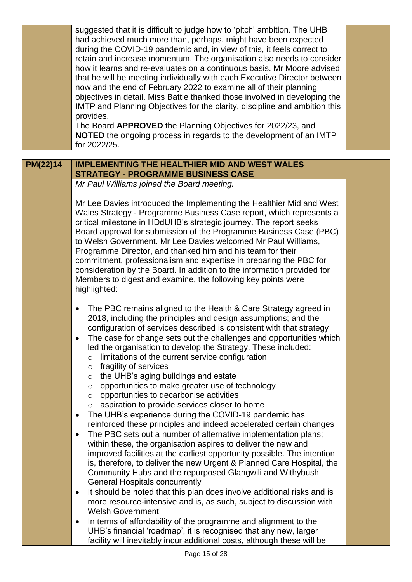|          | suggested that it is difficult to judge how to 'pitch' ambition. The UHB<br>had achieved much more than, perhaps, might have been expected<br>during the COVID-19 pandemic and, in view of this, it feels correct to<br>retain and increase momentum. The organisation also needs to consider<br>how it learns and re-evaluates on a continuous basis. Mr Moore advised<br>that he will be meeting individually with each Executive Director between<br>now and the end of February 2022 to examine all of their planning<br>objectives in detail. Miss Battle thanked those involved in developing the<br>IMTP and Planning Objectives for the clarity, discipline and ambition this<br>provides.<br>The Board APPROVED the Planning Objectives for 2022/23, and<br><b>NOTED</b> the ongoing process in regards to the development of an IMTP<br>for 2022/25.                                                                                                                                                                                                                                                                                                                                                                                                                                                                                                                                                         |  |
|----------|------------------------------------------------------------------------------------------------------------------------------------------------------------------------------------------------------------------------------------------------------------------------------------------------------------------------------------------------------------------------------------------------------------------------------------------------------------------------------------------------------------------------------------------------------------------------------------------------------------------------------------------------------------------------------------------------------------------------------------------------------------------------------------------------------------------------------------------------------------------------------------------------------------------------------------------------------------------------------------------------------------------------------------------------------------------------------------------------------------------------------------------------------------------------------------------------------------------------------------------------------------------------------------------------------------------------------------------------------------------------------------------------------------------------|--|
|          |                                                                                                                                                                                                                                                                                                                                                                                                                                                                                                                                                                                                                                                                                                                                                                                                                                                                                                                                                                                                                                                                                                                                                                                                                                                                                                                                                                                                                        |  |
| PM(22)14 | <b>IMPLEMENTING THE HEALTHIER MID AND WEST WALES</b>                                                                                                                                                                                                                                                                                                                                                                                                                                                                                                                                                                                                                                                                                                                                                                                                                                                                                                                                                                                                                                                                                                                                                                                                                                                                                                                                                                   |  |
|          | <b>STRATEGY - PROGRAMME BUSINESS CASE</b><br>Mr Paul Williams joined the Board meeting.                                                                                                                                                                                                                                                                                                                                                                                                                                                                                                                                                                                                                                                                                                                                                                                                                                                                                                                                                                                                                                                                                                                                                                                                                                                                                                                                |  |
|          |                                                                                                                                                                                                                                                                                                                                                                                                                                                                                                                                                                                                                                                                                                                                                                                                                                                                                                                                                                                                                                                                                                                                                                                                                                                                                                                                                                                                                        |  |
|          | Mr Lee Davies introduced the Implementing the Healthier Mid and West<br>Wales Strategy - Programme Business Case report, which represents a<br>critical milestone in HDdUHB's strategic journey. The report seeks<br>Board approval for submission of the Programme Business Case (PBC)<br>to Welsh Government. Mr Lee Davies welcomed Mr Paul Williams,<br>Programme Director, and thanked him and his team for their<br>commitment, professionalism and expertise in preparing the PBC for<br>consideration by the Board. In addition to the information provided for<br>Members to digest and examine, the following key points were<br>highlighted:                                                                                                                                                                                                                                                                                                                                                                                                                                                                                                                                                                                                                                                                                                                                                                |  |
|          | The PBC remains aligned to the Health & Care Strategy agreed in<br>2018, including the principles and design assumptions; and the<br>configuration of services described is consistent with that strategy<br>The case for change sets out the challenges and opportunities which<br>led the organisation to develop the Strategy. These included:<br>limitations of the current service configuration<br>$\circ$<br>fragility of services<br>$\circ$<br>the UHB's aging buildings and estate<br>$\circ$<br>opportunities to make greater use of technology<br>$\circ$<br>opportunities to decarbonise activities<br>$\circ$<br>aspiration to provide services closer to home<br>$\circ$<br>The UHB's experience during the COVID-19 pandemic has<br>٠<br>reinforced these principles and indeed accelerated certain changes<br>The PBC sets out a number of alternative implementation plans;<br>$\bullet$<br>within these, the organisation aspires to deliver the new and<br>improved facilities at the earliest opportunity possible. The intention<br>is, therefore, to deliver the new Urgent & Planned Care Hospital, the<br>Community Hubs and the repurposed Glangwili and Withybush<br><b>General Hospitals concurrently</b><br>It should be noted that this plan does involve additional risks and is<br>٠<br>more resource-intensive and is, as such, subject to discussion with<br><b>Welsh Government</b> |  |
|          | In terms of affordability of the programme and alignment to the<br>٠<br>UHB's financial 'roadmap', it is recognised that any new, larger<br>facility will inevitably incur additional costs, although these will be                                                                                                                                                                                                                                                                                                                                                                                                                                                                                                                                                                                                                                                                                                                                                                                                                                                                                                                                                                                                                                                                                                                                                                                                    |  |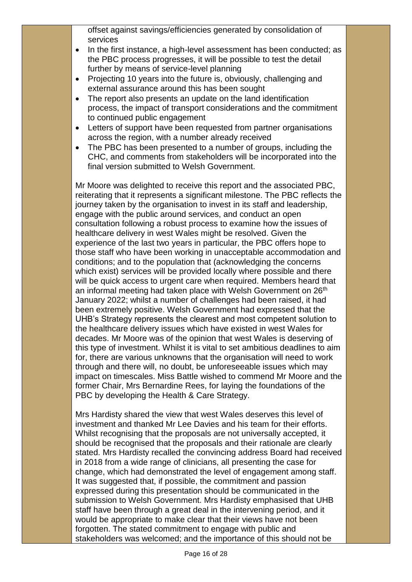offset against savings/efficiencies generated by consolidation of services

- In the first instance, a high-level assessment has been conducted; as the PBC process progresses, it will be possible to test the detail further by means of service-level planning
- Projecting 10 years into the future is, obviously, challenging and external assurance around this has been sought
- The report also presents an update on the land identification process, the impact of transport considerations and the commitment to continued public engagement
- Letters of support have been requested from partner organisations across the region, with a number already received
- The PBC has been presented to a number of groups, including the CHC, and comments from stakeholders will be incorporated into the final version submitted to Welsh Government.

Mr Moore was delighted to receive this report and the associated PBC, reiterating that it represents a significant milestone. The PBC reflects the journey taken by the organisation to invest in its staff and leadership, engage with the public around services, and conduct an open consultation following a robust process to examine how the issues of healthcare delivery in west Wales might be resolved. Given the experience of the last two years in particular, the PBC offers hope to those staff who have been working in unacceptable accommodation and conditions; and to the population that (acknowledging the concerns which exist) services will be provided locally where possible and there will be quick access to urgent care when required. Members heard that an informal meeting had taken place with Welsh Government on 26<sup>th</sup> January 2022; whilst a number of challenges had been raised, it had been extremely positive. Welsh Government had expressed that the UHB's Strategy represents the clearest and most competent solution to the healthcare delivery issues which have existed in west Wales for decades. Mr Moore was of the opinion that west Wales is deserving of this type of investment. Whilst it is vital to set ambitious deadlines to aim for, there are various unknowns that the organisation will need to work through and there will, no doubt, be unforeseeable issues which may impact on timescales. Miss Battle wished to commend Mr Moore and the former Chair, Mrs Bernardine Rees, for laying the foundations of the PBC by developing the Health & Care Strategy.

Mrs Hardisty shared the view that west Wales deserves this level of investment and thanked Mr Lee Davies and his team for their efforts. Whilst recognising that the proposals are not universally accepted, it should be recognised that the proposals and their rationale are clearly stated. Mrs Hardisty recalled the convincing address Board had received in 2018 from a wide range of clinicians, all presenting the case for change, which had demonstrated the level of engagement among staff. It was suggested that, if possible, the commitment and passion expressed during this presentation should be communicated in the submission to Welsh Government. Mrs Hardisty emphasised that UHB staff have been through a great deal in the intervening period, and it would be appropriate to make clear that their views have not been forgotten. The stated commitment to engage with public and stakeholders was welcomed; and the importance of this should not be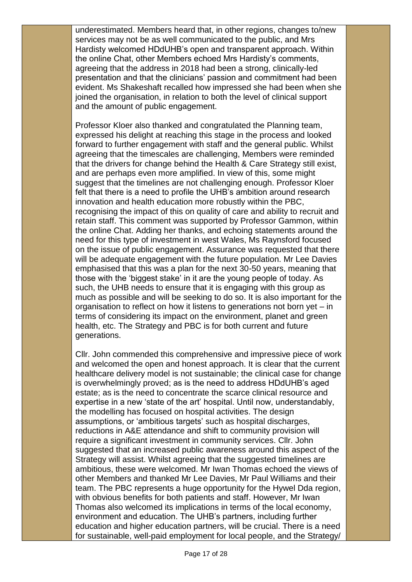underestimated. Members heard that, in other regions, changes to/new services may not be as well communicated to the public, and Mrs Hardisty welcomed HDdUHB's open and transparent approach. Within the online Chat, other Members echoed Mrs Hardisty's comments, agreeing that the address in 2018 had been a strong, clinically-led presentation and that the clinicians' passion and commitment had been evident. Ms Shakeshaft recalled how impressed she had been when she joined the organisation, in relation to both the level of clinical support and the amount of public engagement.

Professor Kloer also thanked and congratulated the Planning team, expressed his delight at reaching this stage in the process and looked forward to further engagement with staff and the general public. Whilst agreeing that the timescales are challenging, Members were reminded that the drivers for change behind the Health & Care Strategy still exist, and are perhaps even more amplified. In view of this, some might suggest that the timelines are not challenging enough. Professor Kloer felt that there is a need to profile the UHB's ambition around research innovation and health education more robustly within the PBC, recognising the impact of this on quality of care and ability to recruit and retain staff. This comment was supported by Professor Gammon, within the online Chat. Adding her thanks, and echoing statements around the need for this type of investment in west Wales, Ms Raynsford focused on the issue of public engagement. Assurance was requested that there will be adequate engagement with the future population. Mr Lee Davies emphasised that this was a plan for the next 30-50 years, meaning that those with the 'biggest stake' in it are the young people of today. As such, the UHB needs to ensure that it is engaging with this group as much as possible and will be seeking to do so. It is also important for the organisation to reflect on how it listens to generations not born yet – in terms of considering its impact on the environment, planet and green health, etc. The Strategy and PBC is for both current and future generations.

Cllr. John commended this comprehensive and impressive piece of work and welcomed the open and honest approach. It is clear that the current healthcare delivery model is not sustainable; the clinical case for change is overwhelmingly proved; as is the need to address HDdUHB's aged estate; as is the need to concentrate the scarce clinical resource and expertise in a new 'state of the art' hospital. Until now, understandably, the modelling has focused on hospital activities. The design assumptions, or 'ambitious targets' such as hospital discharges, reductions in A&E attendance and shift to community provision will require a significant investment in community services. Cllr. John suggested that an increased public awareness around this aspect of the Strategy will assist. Whilst agreeing that the suggested timelines are ambitious, these were welcomed. Mr Iwan Thomas echoed the views of other Members and thanked Mr Lee Davies, Mr Paul Williams and their team. The PBC represents a huge opportunity for the Hywel Dda region, with obvious benefits for both patients and staff. However, Mr Iwan Thomas also welcomed its implications in terms of the local economy, environment and education. The UHB's partners, including further education and higher education partners, will be crucial. There is a need for sustainable, well-paid employment for local people, and the Strategy/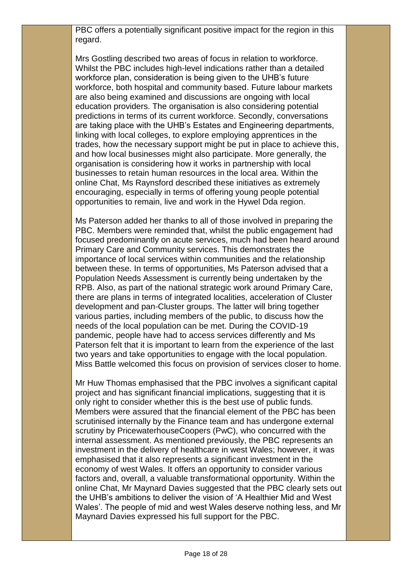PBC offers a potentially significant positive impact for the region in this regard.

Mrs Gostling described two areas of focus in relation to workforce. Whilst the PBC includes high-level indications rather than a detailed workforce plan, consideration is being given to the UHB's future workforce, both hospital and community based. Future labour markets are also being examined and discussions are ongoing with local education providers. The organisation is also considering potential predictions in terms of its current workforce. Secondly, conversations are taking place with the UHB's Estates and Engineering departments, linking with local colleges, to explore employing apprentices in the trades, how the necessary support might be put in place to achieve this, and how local businesses might also participate. More generally, the organisation is considering how it works in partnership with local businesses to retain human resources in the local area. Within the online Chat, Ms Raynsford described these initiatives as extremely encouraging, especially in terms of offering young people potential opportunities to remain, live and work in the Hywel Dda region.

Ms Paterson added her thanks to all of those involved in preparing the PBC. Members were reminded that, whilst the public engagement had focused predominantly on acute services, much had been heard around Primary Care and Community services. This demonstrates the importance of local services within communities and the relationship between these. In terms of opportunities, Ms Paterson advised that a Population Needs Assessment is currently being undertaken by the RPB. Also, as part of the national strategic work around Primary Care, there are plans in terms of integrated localities, acceleration of Cluster development and pan-Cluster groups. The latter will bring together various parties, including members of the public, to discuss how the needs of the local population can be met. During the COVID-19 pandemic, people have had to access services differently and Ms Paterson felt that it is important to learn from the experience of the last two years and take opportunities to engage with the local population. Miss Battle welcomed this focus on provision of services closer to home.

Mr Huw Thomas emphasised that the PBC involves a significant capital project and has significant financial implications, suggesting that it is only right to consider whether this is the best use of public funds. Members were assured that the financial element of the PBC has been scrutinised internally by the Finance team and has undergone external scrutiny by PricewaterhouseCoopers (PwC), who concurred with the internal assessment. As mentioned previously, the PBC represents an investment in the delivery of healthcare in west Wales; however, it was emphasised that it also represents a significant investment in the economy of west Wales. It offers an opportunity to consider various factors and, overall, a valuable transformational opportunity. Within the online Chat, Mr Maynard Davies suggested that the PBC clearly sets out the UHB's ambitions to deliver the vision of 'A Healthier Mid and West Wales'. The people of mid and west Wales deserve nothing less, and Mr Maynard Davies expressed his full support for the PBC.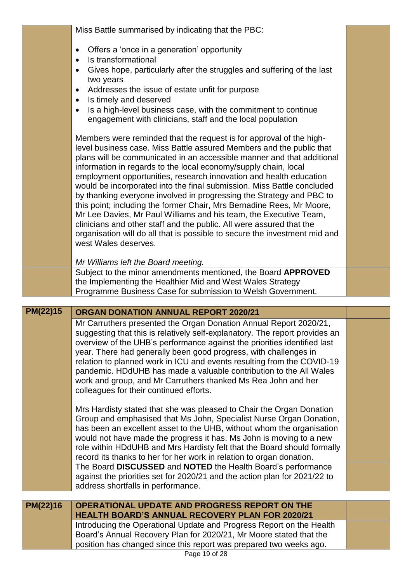| PM(22)16 | OPERATIONAL UPDATE AND PROGRESS REPORT ON THE<br><b>HEALTH BOARD'S ANNUAL RECOVERY PLAN FOR 2020/21</b>                                                                                                                                                                                                                                                                                                                                                                                                                                                                                                                                                                                                                                                                                                                                                                                                                                                                                                                                                                                                                                                                                              |  |
|----------|------------------------------------------------------------------------------------------------------------------------------------------------------------------------------------------------------------------------------------------------------------------------------------------------------------------------------------------------------------------------------------------------------------------------------------------------------------------------------------------------------------------------------------------------------------------------------------------------------------------------------------------------------------------------------------------------------------------------------------------------------------------------------------------------------------------------------------------------------------------------------------------------------------------------------------------------------------------------------------------------------------------------------------------------------------------------------------------------------------------------------------------------------------------------------------------------------|--|
|          | against the priorities set for 2020/21 and the action plan for 2021/22 to<br>address shortfalls in performance.                                                                                                                                                                                                                                                                                                                                                                                                                                                                                                                                                                                                                                                                                                                                                                                                                                                                                                                                                                                                                                                                                      |  |
|          | would not have made the progress it has. Ms John is moving to a new<br>role within HDdUHB and Mrs Hardisty felt that the Board should formally<br>record its thanks to her for her work in relation to organ donation.<br>The Board DISCUSSED and NOTED the Health Board's performance                                                                                                                                                                                                                                                                                                                                                                                                                                                                                                                                                                                                                                                                                                                                                                                                                                                                                                               |  |
|          | Mrs Hardisty stated that she was pleased to Chair the Organ Donation<br>Group and emphasised that Ms John, Specialist Nurse Organ Donation,<br>has been an excellent asset to the UHB, without whom the organisation                                                                                                                                                                                                                                                                                                                                                                                                                                                                                                                                                                                                                                                                                                                                                                                                                                                                                                                                                                                 |  |
|          | relation to planned work in ICU and events resulting from the COVID-19<br>pandemic. HDdUHB has made a valuable contribution to the All Wales<br>work and group, and Mr Carruthers thanked Ms Rea John and her<br>colleagues for their continued efforts.                                                                                                                                                                                                                                                                                                                                                                                                                                                                                                                                                                                                                                                                                                                                                                                                                                                                                                                                             |  |
|          | Mr Carruthers presented the Organ Donation Annual Report 2020/21,<br>suggesting that this is relatively self-explanatory. The report provides an<br>overview of the UHB's performance against the priorities identified last<br>year. There had generally been good progress, with challenges in                                                                                                                                                                                                                                                                                                                                                                                                                                                                                                                                                                                                                                                                                                                                                                                                                                                                                                     |  |
| PM(22)15 | ORGAN DONATION ANNUAL REPORT 2020/21                                                                                                                                                                                                                                                                                                                                                                                                                                                                                                                                                                                                                                                                                                                                                                                                                                                                                                                                                                                                                                                                                                                                                                 |  |
|          | Programme Business Case for submission to Welsh Government.                                                                                                                                                                                                                                                                                                                                                                                                                                                                                                                                                                                                                                                                                                                                                                                                                                                                                                                                                                                                                                                                                                                                          |  |
|          | Mr Williams left the Board meeting.<br>Subject to the minor amendments mentioned, the Board APPROVED<br>the Implementing the Healthier Mid and West Wales Strategy                                                                                                                                                                                                                                                                                                                                                                                                                                                                                                                                                                                                                                                                                                                                                                                                                                                                                                                                                                                                                                   |  |
|          | Gives hope, particularly after the struggles and suffering of the last<br>$\bullet$<br>two years<br>Addresses the issue of estate unfit for purpose<br>$\bullet$<br>Is timely and deserved<br>$\bullet$<br>Is a high-level business case, with the commitment to continue<br>$\bullet$<br>engagement with clinicians, staff and the local population<br>Members were reminded that the request is for approval of the high-<br>level business case. Miss Battle assured Members and the public that<br>plans will be communicated in an accessible manner and that additional<br>information in regards to the local economy/supply chain, local<br>employment opportunities, research innovation and health education<br>would be incorporated into the final submission. Miss Battle concluded<br>by thanking everyone involved in progressing the Strategy and PBC to<br>this point; including the former Chair, Mrs Bernadine Rees, Mr Moore,<br>Mr Lee Davies, Mr Paul Williams and his team, the Executive Team,<br>clinicians and other staff and the public. All were assured that the<br>organisation will do all that is possible to secure the investment mid and<br>west Wales deserves. |  |
|          | Miss Battle summarised by indicating that the PBC:<br>Offers a 'once in a generation' opportunity<br>$\bullet$<br>Is transformational<br>$\bullet$                                                                                                                                                                                                                                                                                                                                                                                                                                                                                                                                                                                                                                                                                                                                                                                                                                                                                                                                                                                                                                                   |  |
|          |                                                                                                                                                                                                                                                                                                                                                                                                                                                                                                                                                                                                                                                                                                                                                                                                                                                                                                                                                                                                                                                                                                                                                                                                      |  |

Introducing the Operational Update and Progress Report on the Health Board's Annual Recovery Plan for 2020/21, Mr Moore stated that the position has changed since this report was prepared two weeks ago.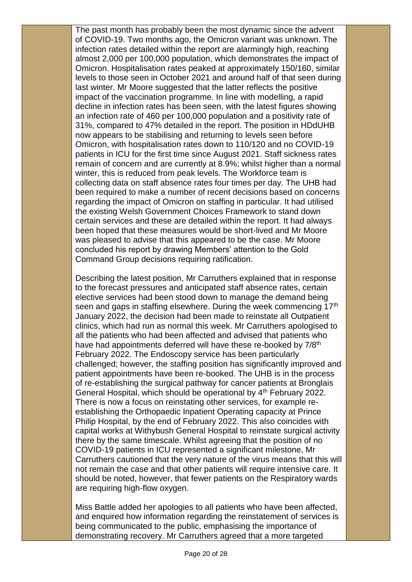The past month has probably been the most dynamic since the advent of COVID-19. Two months ago, the Omicron variant was unknown. The infection rates detailed within the report are alarmingly high, reaching almost 2,000 per 100,000 population, which demonstrates the impact of Omicron. Hospitalisation rates peaked at approximately 150/160, similar levels to those seen in October 2021 and around half of that seen during last winter. Mr Moore suggested that the latter reflects the positive impact of the vaccination programme. In line with modelling, a rapid decline in infection rates has been seen, with the latest figures showing an infection rate of 460 per 100,000 population and a positivity rate of 31%, compared to 47% detailed in the report. The position in HDdUHB now appears to be stabilising and returning to levels seen before Omicron, with hospitalisation rates down to 110/120 and no COVID-19 patients in ICU for the first time since August 2021. Staff sickness rates remain of concern and are currently at 8.9%; whilst higher than a normal winter, this is reduced from peak levels. The Workforce team is collecting data on staff absence rates four times per day. The UHB had been required to make a number of recent decisions based on concerns regarding the impact of Omicron on staffing in particular. It had utilised the existing Welsh Government Choices Framework to stand down certain services and these are detailed within the report. It had always been hoped that these measures would be short-lived and Mr Moore was pleased to advise that this appeared to be the case. Mr Moore concluded his report by drawing Members' attention to the Gold Command Group decisions requiring ratification.

Describing the latest position, Mr Carruthers explained that in response to the forecast pressures and anticipated staff absence rates, certain elective services had been stood down to manage the demand being seen and gaps in staffing elsewhere. During the week commencing 17<sup>th</sup> January 2022, the decision had been made to reinstate all Outpatient clinics, which had run as normal this week. Mr Carruthers apologised to all the patients who had been affected and advised that patients who have had appointments deferred will have these re-booked by 7/8<sup>th</sup> February 2022. The Endoscopy service has been particularly challenged; however, the staffing position has significantly improved and patient appointments have been re-booked. The UHB is in the process of re-establishing the surgical pathway for cancer patients at Bronglais General Hospital, which should be operational by 4<sup>th</sup> February 2022. There is now a focus on reinstating other services, for example reestablishing the Orthopaedic Inpatient Operating capacity at Prince Philip Hospital, by the end of February 2022. This also coincides with capital works at Withybush General Hospital to reinstate surgical activity there by the same timescale. Whilst agreeing that the position of no COVID-19 patients in ICU represented a significant milestone, Mr Carruthers cautioned that the very nature of the virus means that this will not remain the case and that other patients will require intensive care. It should be noted, however, that fewer patients on the Respiratory wards are requiring high-flow oxygen.

Miss Battle added her apologies to all patients who have been affected, and enquired how information regarding the reinstatement of services is being communicated to the public, emphasising the importance of demonstrating recovery. Mr Carruthers agreed that a more targeted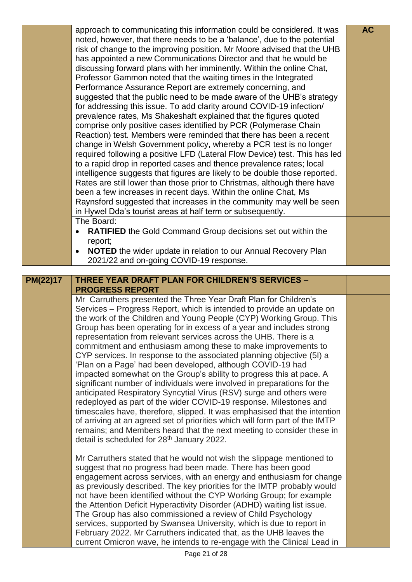|          | approach to communicating this information could be considered. It was<br>noted, however, that there needs to be a 'balance', due to the potential<br>risk of change to the improving position. Mr Moore advised that the UHB<br>has appointed a new Communications Director and that he would be<br>discussing forward plans with her imminently. Within the online Chat,<br>Professor Gammon noted that the waiting times in the Integrated<br>Performance Assurance Report are extremely concerning, and<br>suggested that the public need to be made aware of the UHB's strategy<br>for addressing this issue. To add clarity around COVID-19 infection/<br>prevalence rates, Ms Shakeshaft explained that the figures quoted<br>comprise only positive cases identified by PCR (Polymerase Chain<br>Reaction) test. Members were reminded that there has been a recent<br>change in Welsh Government policy, whereby a PCR test is no longer<br>required following a positive LFD (Lateral Flow Device) test. This has led<br>to a rapid drop in reported cases and thence prevalence rates; local<br>intelligence suggests that figures are likely to be double those reported.<br>Rates are still lower than those prior to Christmas, although there have<br>been a few increases in recent days. Within the online Chat, Ms<br>Raynsford suggested that increases in the community may well be seen<br>in Hywel Dda's tourist areas at half term or subsequently. | <b>AC</b> |
|----------|----------------------------------------------------------------------------------------------------------------------------------------------------------------------------------------------------------------------------------------------------------------------------------------------------------------------------------------------------------------------------------------------------------------------------------------------------------------------------------------------------------------------------------------------------------------------------------------------------------------------------------------------------------------------------------------------------------------------------------------------------------------------------------------------------------------------------------------------------------------------------------------------------------------------------------------------------------------------------------------------------------------------------------------------------------------------------------------------------------------------------------------------------------------------------------------------------------------------------------------------------------------------------------------------------------------------------------------------------------------------------------------------------------------------------------------------------------------------------|-----------|
|          | The Board:<br><b>RATIFIED</b> the Gold Command Group decisions set out within the<br>report;<br><b>NOTED</b> the wider update in relation to our Annual Recovery Plan<br>2021/22 and on-going COVID-19 response.                                                                                                                                                                                                                                                                                                                                                                                                                                                                                                                                                                                                                                                                                                                                                                                                                                                                                                                                                                                                                                                                                                                                                                                                                                                           |           |
| PM(22)17 | THREE YEAR DRAFT PLAN FOR CHILDREN'S SERVICES -                                                                                                                                                                                                                                                                                                                                                                                                                                                                                                                                                                                                                                                                                                                                                                                                                                                                                                                                                                                                                                                                                                                                                                                                                                                                                                                                                                                                                            |           |
|          | <b>PROGRESS REPORT</b>                                                                                                                                                                                                                                                                                                                                                                                                                                                                                                                                                                                                                                                                                                                                                                                                                                                                                                                                                                                                                                                                                                                                                                                                                                                                                                                                                                                                                                                     |           |
|          | Mr Carruthers presented the Three Year Draft Plan for Children's<br>Services – Progress Report, which is intended to provide an update on<br>the work of the Children and Young People (CYP) Working Group. This<br>Group has been operating for in excess of a year and includes strong<br>representation from relevant services across the UHB. There is a<br>commitment and enthusiasm among these to make improvements to<br>CYP services. In response to the associated planning objective (5I) a<br>'Plan on a Page' had been developed, although COVID-19 had<br>impacted somewhat on the Group's ability to progress this at pace. A<br>significant number of individuals were involved in preparations for the<br>anticipated Respiratory Syncytial Virus (RSV) surge and others were<br>redeployed as part of the wider COVID-19 response. Milestones and<br>timescales have, therefore, slipped. It was emphasised that the intention<br>of arriving at an agreed set of priorities which will form part of the IMTP<br>remains; and Members heard that the next meeting to consider these in<br>detail is scheduled for 28 <sup>th</sup> January 2022.                                                                                                                                                                                                                                                                                                         |           |
|          | Mr Carruthers stated that he would not wish the slippage mentioned to<br>suggest that no progress had been made. There has been good<br>engagement across services, with an energy and enthusiasm for change<br>as previously described. The key priorities for the IMTP probably would<br>not have been identified without the CYP Working Group; for example<br>the Attention Deficit Hyperactivity Disorder (ADHD) waiting list issue.<br>The Group has also commissioned a review of Child Psychology<br>services, supported by Swansea University, which is due to report in<br>February 2022. Mr Carruthers indicated that, as the UHB leaves the<br>current Omicron wave, he intends to re-engage with the Clinical Lead in                                                                                                                                                                                                                                                                                                                                                                                                                                                                                                                                                                                                                                                                                                                                         |           |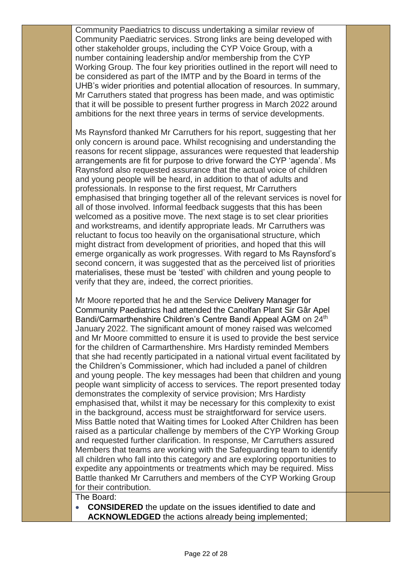Community Paediatrics to discuss undertaking a similar review of Community Paediatric services. Strong links are being developed with other stakeholder groups, including the CYP Voice Group, with a number containing leadership and/or membership from the CYP Working Group. The four key priorities outlined in the report will need to be considered as part of the IMTP and by the Board in terms of the UHB's wider priorities and potential allocation of resources. In summary, Mr Carruthers stated that progress has been made, and was optimistic that it will be possible to present further progress in March 2022 around ambitions for the next three years in terms of service developments.

Ms Raynsford thanked Mr Carruthers for his report, suggesting that her only concern is around pace. Whilst recognising and understanding the reasons for recent slippage, assurances were requested that leadership arrangements are fit for purpose to drive forward the CYP 'agenda'. Ms Raynsford also requested assurance that the actual voice of children and young people will be heard, in addition to that of adults and professionals. In response to the first request, Mr Carruthers emphasised that bringing together all of the relevant services is novel for all of those involved. Informal feedback suggests that this has been welcomed as a positive move. The next stage is to set clear priorities and workstreams, and identify appropriate leads. Mr Carruthers was reluctant to focus too heavily on the organisational structure, which might distract from development of priorities, and hoped that this will emerge organically as work progresses. With regard to Ms Raynsford's second concern, it was suggested that as the perceived list of priorities materialises, these must be 'tested' with children and young people to verify that they are, indeed, the correct priorities.

Mr Moore reported that he and the Service Delivery Manager for Community Paediatrics had attended the Canolfan Plant Sir Gâr Apel Bandi/Carmarthenshire Children's Centre Bandi Appeal AGM on 24<sup>th</sup> January 2022. The significant amount of money raised was welcomed and Mr Moore committed to ensure it is used to provide the best service for the children of Carmarthenshire. Mrs Hardisty reminded Members that she had recently participated in a national virtual event facilitated by the Children's Commissioner, which had included a panel of children and young people. The key messages had been that children and young people want simplicity of access to services. The report presented today demonstrates the complexity of service provision; Mrs Hardisty emphasised that, whilst it may be necessary for this complexity to exist in the background, access must be straightforward for service users. Miss Battle noted that Waiting times for Looked After Children has been raised as a particular challenge by members of the CYP Working Group and requested further clarification. In response, Mr Carruthers assured Members that teams are working with the Safeguarding team to identify all children who fall into this category and are exploring opportunities to expedite any appointments or treatments which may be required. Miss Battle thanked Mr Carruthers and members of the CYP Working Group for their contribution.

## The Board:

 **CONSIDERED** the update on the issues identified to date and **ACKNOWLEDGED** the actions already being implemented;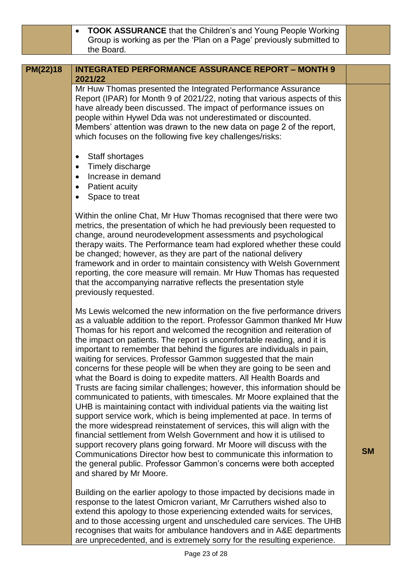**TOOK ASSURANCE** that the Children's and Young People Working Group is working as per the 'Plan on a Page' previously submitted to the Board.

## **PM(22)18 INTEGRATED PERFORMANCE ASSURANCE REPORT – MONTH 9 2021/22**

Mr Huw Thomas presented the Integrated Performance Assurance Report (IPAR) for Month 9 of 2021/22, noting that various aspects of this have already been discussed. The impact of performance issues on people within Hywel Dda was not underestimated or discounted. Members' attention was drawn to the new data on page 2 of the report, which focuses on the following five key challenges/risks:

- Staff shortages
- Timely discharge
- Increase in demand
- Patient acuity
- Space to treat

Within the online Chat, Mr Huw Thomas recognised that there were two metrics, the presentation of which he had previously been requested to change, around neurodevelopment assessments and psychological therapy waits. The Performance team had explored whether these could be changed; however, as they are part of the national delivery framework and in order to maintain consistency with Welsh Government reporting, the core measure will remain. Mr Huw Thomas has requested that the accompanying narrative reflects the presentation style previously requested.

Ms Lewis welcomed the new information on the five performance drivers as a valuable addition to the report. Professor Gammon thanked Mr Huw Thomas for his report and welcomed the recognition and reiteration of the impact on patients. The report is uncomfortable reading, and it is important to remember that behind the figures are individuals in pain, waiting for services. Professor Gammon suggested that the main concerns for these people will be when they are going to be seen and what the Board is doing to expedite matters. All Health Boards and Trusts are facing similar challenges; however, this information should be communicated to patients, with timescales. Mr Moore explained that the UHB is maintaining contact with individual patients via the waiting list support service work, which is being implemented at pace. In terms of the more widespread reinstatement of services, this will align with the financial settlement from Welsh Government and how it is utilised to support recovery plans going forward. Mr Moore will discuss with the Communications Director how best to communicate this information to the general public. Professor Gammon's concerns were both accepted and shared by Mr Moore.

Building on the earlier apology to those impacted by decisions made in response to the latest Omicron variant, Mr Carruthers wished also to extend this apology to those experiencing extended waits for services, and to those accessing urgent and unscheduled care services. The UHB recognises that waits for ambulance handovers and in A&E departments are unprecedented, and is extremely sorry for the resulting experience.

**SM**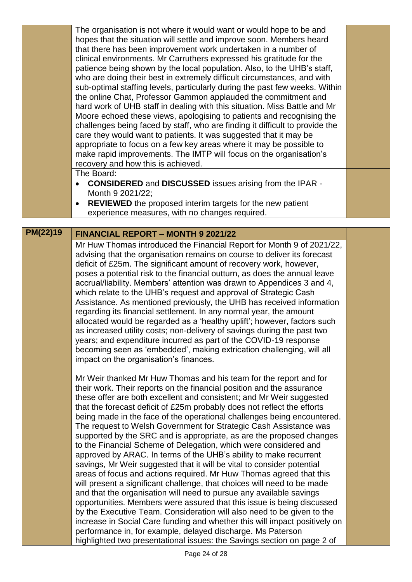| <b>PM(22)19</b> | <b>FINANCIAL REPORT - MONTH 9 2021/22</b>                                                                                                          |  |
|-----------------|----------------------------------------------------------------------------------------------------------------------------------------------------|--|
|                 |                                                                                                                                                    |  |
|                 | experience measures, with no changes required.                                                                                                     |  |
|                 | <b>REVIEWED</b> the proposed interim targets for the new patient                                                                                   |  |
|                 | Month 9 2021/22;                                                                                                                                   |  |
|                 | <b>CONSIDERED and DISCUSSED issues arising from the IPAR -</b>                                                                                     |  |
|                 | The Board:                                                                                                                                         |  |
|                 | recovery and how this is achieved.                                                                                                                 |  |
|                 | make rapid improvements. The IMTP will focus on the organisation's                                                                                 |  |
|                 | appropriate to focus on a few key areas where it may be possible to                                                                                |  |
|                 | care they would want to patients. It was suggested that it may be                                                                                  |  |
|                 | challenges being faced by staff, who are finding it difficult to provide the                                                                       |  |
|                 | hard work of UHB staff in dealing with this situation. Miss Battle and Mr<br>Moore echoed these views, apologising to patients and recognising the |  |
|                 | the online Chat, Professor Gammon applauded the commitment and                                                                                     |  |
|                 | sub-optimal staffing levels, particularly during the past few weeks. Within                                                                        |  |
|                 | who are doing their best in extremely difficult circumstances, and with                                                                            |  |
|                 | patience being shown by the local population. Also, to the UHB's staff,                                                                            |  |
|                 | clinical environments. Mr Carruthers expressed his gratitude for the                                                                               |  |
|                 | that there has been improvement work undertaken in a number of                                                                                     |  |
|                 | hopes that the situation will settle and improve soon. Members heard                                                                               |  |
|                 | The organisation is not where it would want or would hope to be and                                                                                |  |

## Mr Huw Thomas introduced the Financial Report for Month 9 of 2021/22, advising that the organisation remains on course to deliver its forecast deficit of £25m. The significant amount of recovery work, however, poses a potential risk to the financial outturn, as does the annual leave accrual/liability. Members' attention was drawn to Appendices 3 and 4, which relate to the UHB's request and approval of Strategic Cash Assistance. As mentioned previously, the UHB has received information regarding its financial settlement. In any normal year, the amount allocated would be regarded as a 'healthy uplift'; however, factors such as increased utility costs; non-delivery of savings during the past two years; and expenditure incurred as part of the COVID-19 response becoming seen as 'embedded', making extrication challenging, will all impact on the organisation's finances.

Mr Weir thanked Mr Huw Thomas and his team for the report and for their work. Their reports on the financial position and the assurance these offer are both excellent and consistent; and Mr Weir suggested that the forecast deficit of £25m probably does not reflect the efforts being made in the face of the operational challenges being encountered. The request to Welsh Government for Strategic Cash Assistance was supported by the SRC and is appropriate, as are the proposed changes to the Financial Scheme of Delegation, which were considered and approved by ARAC. In terms of the UHB's ability to make recurrent savings, Mr Weir suggested that it will be vital to consider potential areas of focus and actions required. Mr Huw Thomas agreed that this will present a significant challenge, that choices will need to be made and that the organisation will need to pursue any available savings opportunities. Members were assured that this issue is being discussed by the Executive Team. Consideration will also need to be given to the increase in Social Care funding and whether this will impact positively on performance in, for example, delayed discharge. Ms Paterson highlighted two presentational issues: the Savings section on page 2 of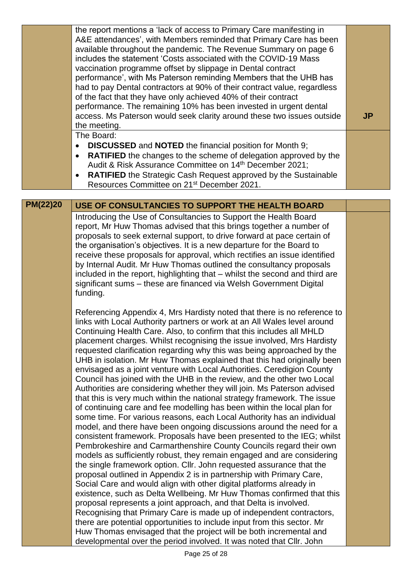|                 | the report mentions a 'lack of access to Primary Care manifesting in<br>A&E attendances', with Members reminded that Primary Care has been<br>available throughout the pandemic. The Revenue Summary on page 6<br>includes the statement 'Costs associated with the COVID-19 Mass<br>vaccination programme offset by slippage in Dental contract<br>performance', with Ms Paterson reminding Members that the UHB has<br>had to pay Dental contractors at 90% of their contract value, regardless<br>of the fact that they have only achieved 40% of their contract<br>performance. The remaining 10% has been invested in urgent dental<br>access. Ms Paterson would seek clarity around these two issues outside<br>the meeting.                                                                                                                                                                                                                                                                                                                                                                                                                                                                                                                                                                                                                                                                                                                                                                                                                                                                                                                                                                                                                    | <b>JP</b> |
|-----------------|-------------------------------------------------------------------------------------------------------------------------------------------------------------------------------------------------------------------------------------------------------------------------------------------------------------------------------------------------------------------------------------------------------------------------------------------------------------------------------------------------------------------------------------------------------------------------------------------------------------------------------------------------------------------------------------------------------------------------------------------------------------------------------------------------------------------------------------------------------------------------------------------------------------------------------------------------------------------------------------------------------------------------------------------------------------------------------------------------------------------------------------------------------------------------------------------------------------------------------------------------------------------------------------------------------------------------------------------------------------------------------------------------------------------------------------------------------------------------------------------------------------------------------------------------------------------------------------------------------------------------------------------------------------------------------------------------------------------------------------------------------|-----------|
|                 | The Board:                                                                                                                                                                                                                                                                                                                                                                                                                                                                                                                                                                                                                                                                                                                                                                                                                                                                                                                                                                                                                                                                                                                                                                                                                                                                                                                                                                                                                                                                                                                                                                                                                                                                                                                                            |           |
|                 | <b>DISCUSSED</b> and <b>NOTED</b> the financial position for Month 9;<br>$\bullet$<br><b>RATIFIED</b> the changes to the scheme of delegation approved by the<br>$\bullet$<br>Audit & Risk Assurance Committee on 14th December 2021;<br><b>RATIFIED</b> the Strategic Cash Request approved by the Sustainable<br>Resources Committee on 21 <sup>st</sup> December 2021.                                                                                                                                                                                                                                                                                                                                                                                                                                                                                                                                                                                                                                                                                                                                                                                                                                                                                                                                                                                                                                                                                                                                                                                                                                                                                                                                                                             |           |
|                 |                                                                                                                                                                                                                                                                                                                                                                                                                                                                                                                                                                                                                                                                                                                                                                                                                                                                                                                                                                                                                                                                                                                                                                                                                                                                                                                                                                                                                                                                                                                                                                                                                                                                                                                                                       |           |
| <b>PM(22)20</b> | USE OF CONSULTANCIES TO SUPPORT THE HEALTH BOARD                                                                                                                                                                                                                                                                                                                                                                                                                                                                                                                                                                                                                                                                                                                                                                                                                                                                                                                                                                                                                                                                                                                                                                                                                                                                                                                                                                                                                                                                                                                                                                                                                                                                                                      |           |
|                 | Introducing the Use of Consultancies to Support the Health Board<br>report, Mr Huw Thomas advised that this brings together a number of<br>proposals to seek external support, to drive forward at pace certain of<br>the organisation's objectives. It is a new departure for the Board to<br>receive these proposals for approval, which rectifies an issue identified<br>by Internal Audit. Mr Huw Thomas outlined the consultancy proposals<br>included in the report, highlighting that - whilst the second and third are<br>significant sums - these are financed via Welsh Government Digital<br>funding.                                                                                                                                                                                                                                                                                                                                                                                                                                                                                                                                                                                                                                                                                                                                                                                                                                                                                                                                                                                                                                                                                                                                      |           |
|                 | Referencing Appendix 4, Mrs Hardisty noted that there is no reference to<br>links with Local Authority partners or work at an All Wales level around<br>Continuing Health Care. Also, to confirm that this includes all MHLD<br>placement charges. Whilst recognising the issue involved, Mrs Hardisty<br>requested clarification regarding why this was being approached by the<br>UHB in isolation. Mr Huw Thomas explained that this had originally been<br>envisaged as a joint venture with Local Authorities. Ceredigion County<br>Council has joined with the UHB in the review, and the other two Local<br>Authorities are considering whether they will join. Ms Paterson advised<br>that this is very much within the national strategy framework. The issue<br>of continuing care and fee modelling has been within the local plan for<br>some time. For various reasons, each Local Authority has an individual<br>model, and there have been ongoing discussions around the need for a<br>consistent framework. Proposals have been presented to the IEG; whilst<br>Pembrokeshire and Carmarthenshire County Councils regard their own<br>models as sufficiently robust, they remain engaged and are considering<br>the single framework option. Cllr. John requested assurance that the<br>proposal outlined in Appendix 2 is in partnership with Primary Care,<br>Social Care and would align with other digital platforms already in<br>existence, such as Delta Wellbeing. Mr Huw Thomas confirmed that this<br>proposal represents a joint approach, and that Delta is involved.<br>Recognising that Primary Care is made up of independent contractors,<br>there are potential opportunities to include input from this sector. Mr |           |
|                 | Huw Thomas envisaged that the project will be both incremental and<br>developmental over the period involved. It was noted that Cllr. John                                                                                                                                                                                                                                                                                                                                                                                                                                                                                                                                                                                                                                                                                                                                                                                                                                                                                                                                                                                                                                                                                                                                                                                                                                                                                                                                                                                                                                                                                                                                                                                                            |           |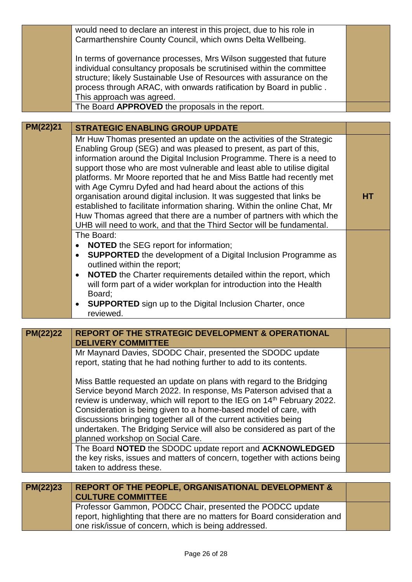|                 | would need to declare an interest in this project, due to his role in<br>Carmarthenshire County Council, which owns Delta Wellbeing.<br>In terms of governance processes, Mrs Wilson suggested that future<br>individual consultancy proposals be scrutinised within the committee                                                                                                                                                                                                                                                                                                                                                                                    |           |
|-----------------|-----------------------------------------------------------------------------------------------------------------------------------------------------------------------------------------------------------------------------------------------------------------------------------------------------------------------------------------------------------------------------------------------------------------------------------------------------------------------------------------------------------------------------------------------------------------------------------------------------------------------------------------------------------------------|-----------|
|                 | structure; likely Sustainable Use of Resources with assurance on the<br>process through ARAC, with onwards ratification by Board in public.<br>This approach was agreed.                                                                                                                                                                                                                                                                                                                                                                                                                                                                                              |           |
|                 | The Board APPROVED the proposals in the report.                                                                                                                                                                                                                                                                                                                                                                                                                                                                                                                                                                                                                       |           |
| PM(22)21        |                                                                                                                                                                                                                                                                                                                                                                                                                                                                                                                                                                                                                                                                       |           |
|                 | <b>STRATEGIC ENABLING GROUP UPDATE</b>                                                                                                                                                                                                                                                                                                                                                                                                                                                                                                                                                                                                                                |           |
|                 | Mr Huw Thomas presented an update on the activities of the Strategic<br>Enabling Group (SEG) and was pleased to present, as part of this,<br>information around the Digital Inclusion Programme. There is a need to<br>support those who are most vulnerable and least able to utilise digital<br>platforms. Mr Moore reported that he and Miss Battle had recently met<br>with Age Cymru Dyfed and had heard about the actions of this<br>organisation around digital inclusion. It was suggested that links be<br>established to facilitate information sharing. Within the online Chat, Mr<br>Huw Thomas agreed that there are a number of partners with which the | <b>HT</b> |
|                 | UHB will need to work, and that the Third Sector will be fundamental.<br>The Board:                                                                                                                                                                                                                                                                                                                                                                                                                                                                                                                                                                                   |           |
|                 |                                                                                                                                                                                                                                                                                                                                                                                                                                                                                                                                                                                                                                                                       |           |
|                 | <b>NOTED</b> the SEG report for information;<br>$\bullet$<br><b>SUPPORTED</b> the development of a Digital Inclusion Programme as<br>$\bullet$                                                                                                                                                                                                                                                                                                                                                                                                                                                                                                                        |           |
|                 | outlined within the report;                                                                                                                                                                                                                                                                                                                                                                                                                                                                                                                                                                                                                                           |           |
|                 | NOTED the Charter requirements detailed within the report, which<br>$\bullet$                                                                                                                                                                                                                                                                                                                                                                                                                                                                                                                                                                                         |           |
|                 | will form part of a wider workplan for introduction into the Health                                                                                                                                                                                                                                                                                                                                                                                                                                                                                                                                                                                                   |           |
|                 | Board;                                                                                                                                                                                                                                                                                                                                                                                                                                                                                                                                                                                                                                                                |           |
|                 | <b>SUPPORTED</b> sign up to the Digital Inclusion Charter, once<br>$\bullet$                                                                                                                                                                                                                                                                                                                                                                                                                                                                                                                                                                                          |           |
|                 | reviewed.                                                                                                                                                                                                                                                                                                                                                                                                                                                                                                                                                                                                                                                             |           |
| <b>PM(22)22</b> | REPORT OF THE STRATEGIC DEVELOPMENT & OPERATIONAL                                                                                                                                                                                                                                                                                                                                                                                                                                                                                                                                                                                                                     |           |
|                 | <b>DELIVERY COMMITTEE</b>                                                                                                                                                                                                                                                                                                                                                                                                                                                                                                                                                                                                                                             |           |
|                 | Mr Maynard Davies, SDODC Chair, presented the SDODC update                                                                                                                                                                                                                                                                                                                                                                                                                                                                                                                                                                                                            |           |
|                 | report, stating that he had nothing further to add to its contents.                                                                                                                                                                                                                                                                                                                                                                                                                                                                                                                                                                                                   |           |
|                 |                                                                                                                                                                                                                                                                                                                                                                                                                                                                                                                                                                                                                                                                       |           |
|                 | Miss Battle requested an update on plans with regard to the Bridging<br>Service beyond March 2022. In response, Ms Paterson advised that a<br>review is underway, which will report to the IEG on 14th February 2022.                                                                                                                                                                                                                                                                                                                                                                                                                                                 |           |
|                 | Consideration is being given to a home-based model of care, with                                                                                                                                                                                                                                                                                                                                                                                                                                                                                                                                                                                                      |           |
|                 | discussions bringing together all of the current activities being                                                                                                                                                                                                                                                                                                                                                                                                                                                                                                                                                                                                     |           |
|                 | undertaken. The Bridging Service will also be considered as part of the<br>planned workshop on Social Care.                                                                                                                                                                                                                                                                                                                                                                                                                                                                                                                                                           |           |
|                 | The Board NOTED the SDODC update report and ACKNOWLEDGED                                                                                                                                                                                                                                                                                                                                                                                                                                                                                                                                                                                                              |           |
|                 | the key risks, issues and matters of concern, together with actions being                                                                                                                                                                                                                                                                                                                                                                                                                                                                                                                                                                                             |           |
|                 | taken to address these.                                                                                                                                                                                                                                                                                                                                                                                                                                                                                                                                                                                                                                               |           |
|                 |                                                                                                                                                                                                                                                                                                                                                                                                                                                                                                                                                                                                                                                                       |           |
| PM(22)23        | <b>REPORT OF THE PEOPLE, ORGANISATIONAL DEVELOPMENT &amp;</b><br><b>CULTURE COMMITTEE</b>                                                                                                                                                                                                                                                                                                                                                                                                                                                                                                                                                                             |           |
|                 | Professor Gammon, PODCC Chair, presented the PODCC update                                                                                                                                                                                                                                                                                                                                                                                                                                                                                                                                                                                                             |           |
|                 | report, highlighting that there are no matters for Board consideration and<br>one risk/issue of concern, which is being addressed.                                                                                                                                                                                                                                                                                                                                                                                                                                                                                                                                    |           |
|                 |                                                                                                                                                                                                                                                                                                                                                                                                                                                                                                                                                                                                                                                                       |           |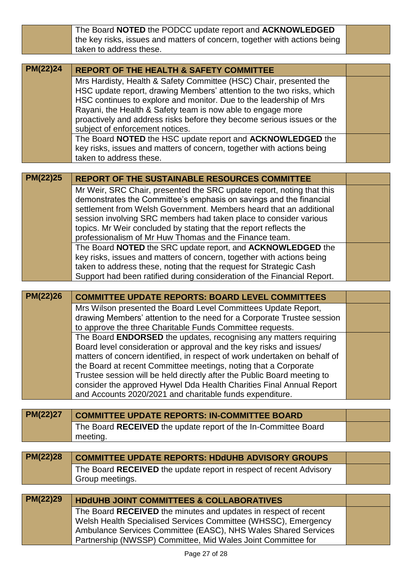|                 | The Board NOTED the PODCC update report and ACKNOWLEDGED                                                                                         |  |
|-----------------|--------------------------------------------------------------------------------------------------------------------------------------------------|--|
|                 | the key risks, issues and matters of concern, together with actions being                                                                        |  |
|                 | taken to address these.                                                                                                                          |  |
|                 |                                                                                                                                                  |  |
| <b>PM(22)24</b> | <b>REPORT OF THE HEALTH &amp; SAFETY COMMITTEE</b>                                                                                               |  |
|                 | Mrs Hardisty, Health & Safety Committee (HSC) Chair, presented the                                                                               |  |
|                 | HSC update report, drawing Members' attention to the two risks, which                                                                            |  |
|                 | HSC continues to explore and monitor. Due to the leadership of Mrs                                                                               |  |
|                 | Rayani, the Health & Safety team is now able to engage more                                                                                      |  |
|                 | proactively and address risks before they become serious issues or the                                                                           |  |
|                 | subject of enforcement notices.                                                                                                                  |  |
|                 | The Board NOTED the HSC update report and ACKNOWLEDGED the                                                                                       |  |
|                 | key risks, issues and matters of concern, together with actions being<br>taken to address these.                                                 |  |
|                 |                                                                                                                                                  |  |
| PM(22)25        | <b>REPORT OF THE SUSTAINABLE RESOURCES COMMITTEE</b>                                                                                             |  |
|                 |                                                                                                                                                  |  |
|                 | Mr Weir, SRC Chair, presented the SRC update report, noting that this<br>demonstrates the Committee's emphasis on savings and the financial      |  |
|                 | settlement from Welsh Government. Members heard that an additional                                                                               |  |
|                 | session involving SRC members had taken place to consider various                                                                                |  |
|                 | topics. Mr Weir concluded by stating that the report reflects the                                                                                |  |
|                 | professionalism of Mr Huw Thomas and the Finance team.                                                                                           |  |
|                 | The Board NOTED the SRC update report, and ACKNOWLEDGED the                                                                                      |  |
|                 | key risks, issues and matters of concern, together with actions being                                                                            |  |
|                 | taken to address these, noting that the request for Strategic Cash                                                                               |  |
|                 | Support had been ratified during consideration of the Financial Report.                                                                          |  |
|                 |                                                                                                                                                  |  |
|                 |                                                                                                                                                  |  |
| PM(22)26        | <b>COMMITTEE UPDATE REPORTS: BOARD LEVEL COMMITTEES</b>                                                                                          |  |
|                 | Mrs Wilson presented the Board Level Committees Update Report,                                                                                   |  |
|                 | drawing Members' attention to the need for a Corporate Trustee session                                                                           |  |
|                 | to approve the three Charitable Funds Committee requests.                                                                                        |  |
|                 | The Board <b>ENDORSED</b> the updates, recognising any matters requiring                                                                         |  |
|                 | Board level consideration or approval and the key risks and issues/<br>matters of concern identified, in respect of work undertaken on behalf of |  |
|                 | the Board at recent Committee meetings, noting that a Corporate                                                                                  |  |
|                 | Trustee session will be held directly after the Public Board meeting to                                                                          |  |
|                 | consider the approved Hywel Dda Health Charities Final Annual Report                                                                             |  |
|                 | and Accounts 2020/2021 and charitable funds expenditure.                                                                                         |  |
|                 |                                                                                                                                                  |  |
| PM(22)27        | <b>COMMITTEE UPDATE REPORTS: IN-COMMITTEE BOARD</b>                                                                                              |  |
|                 | The Board RECEIVED the update report of the In-Committee Board                                                                                   |  |
|                 | meeting.                                                                                                                                         |  |
|                 |                                                                                                                                                  |  |
| PM(22)28        | <b>COMMITTEE UPDATE REPORTS: HDdUHB ADVISORY GROUPS</b>                                                                                          |  |
|                 | The Board RECEIVED the update report in respect of recent Advisory                                                                               |  |
|                 | Group meetings.                                                                                                                                  |  |
|                 |                                                                                                                                                  |  |
| PM(22)29        | <b>HDdUHB JOINT COMMITTEES &amp; COLLABORATIVES</b>                                                                                              |  |
|                 | The Board RECEIVED the minutes and updates in respect of recent                                                                                  |  |
|                 | Welsh Health Specialised Services Committee (WHSSC), Emergency                                                                                   |  |
|                 | Ambulance Services Committee (EASC), NHS Wales Shared Services<br>Partnership (NWSSP) Committee, Mid Wales Joint Committee for                   |  |